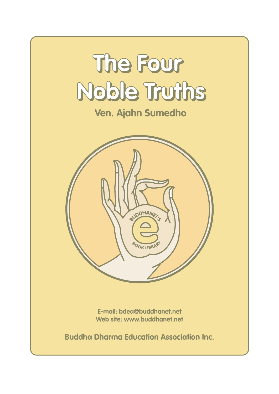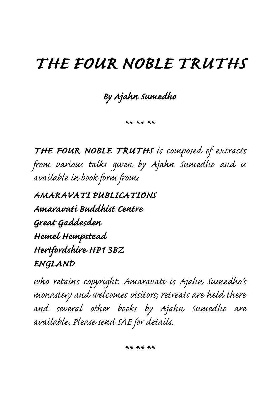# *THE FOUR NOBLE TRUTHS*

# *By Ajahn Sumedho*

*\*\* \*\* \*\**

*THE FOUR NOBLE TRUTHS is composed of extracts from various talks given by Ajahn Sumedho and is available in book form from:*

*AMARAVATI PUBLICATIONS Amaravati Buddhist Centre Great Gaddesden Hemel Hempstead Hertfordshire HP1 3BZ ENGLAND*

*who retains copyright. Amaravati is Ajahn Sumedho's monastery and welcomes visitors; retreats are held there and several other books by Ajahn Sumedho are available. Please send SAE for details.*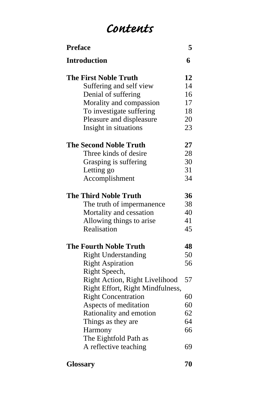# *Contents*

| <b>Preface</b>                        | 5  |
|---------------------------------------|----|
| Introduction                          | 6  |
| <b>The First Noble Truth</b>          | 12 |
| Suffering and self view               | 14 |
| Denial of suffering                   | 16 |
| Morality and compassion               | 17 |
| To investigate suffering              | 18 |
| Pleasure and displeasure              | 20 |
| Insight in situations                 | 23 |
| <b>The Second Noble Truth</b>         | 27 |
| Three kinds of desire                 | 28 |
| Grasping is suffering                 | 30 |
| Letting go                            | 31 |
| Accomplishment                        | 34 |
| The Third Noble Truth                 | 36 |
| The truth of impermanence             | 38 |
| Mortality and cessation               | 40 |
| Allowing things to arise              | 41 |
| Realisation                           | 45 |
| <b>The Fourth Noble Truth</b>         | 48 |
| <b>Right Understanding</b>            | 50 |
| <b>Right Aspiration</b>               | 56 |
| Right Speech,                         |    |
| <b>Right Action, Right Livelihood</b> | 57 |
| Right Effort, Right Mindfulness,      |    |
| <b>Right Concentration</b>            | 60 |
| Aspects of meditation                 | 60 |
| Rationality and emotion               | 62 |
| Things as they are                    | 64 |
| <b>Harmony</b>                        | 66 |
| The Eightfold Path as                 |    |
| A reflective teaching                 | 69 |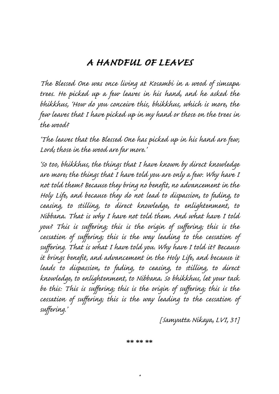### *A HANDFUL OF LEAVES*

*The Blessed One was once living at Kosambi in a wood of simsapa trees. He picked up a few leaves in his hand, and he asked the bhikkhus, 'How do you conceive this, bhikkhus, which is more, the few leaves that I have picked up in my hand or those on the trees in the wood?*

*'The leaves that the Blessed One has picked up in his hand are few, Lord; those in the wood are far more.'*

*'So too, bhikkhus, the things that I have known by direct knowledge are more; the things that I have told you are only a few. Why have I not told them? Because they bring no benefit, no advancement in the Holy Life, and because they do not lead to dispassion, to fading, to ceasing, to stilling, to direct knowledge, to enlightenment, to Nibbana. That is why I have not told them. And what have I told you? This is suffering; this is the origin of suffering; this is the cessation of suffering; this is the way leading to the cessation of suffering. That is what I have told you. Why have I told it? Because it brings benefit, and advancement in the Holy Life, and because it leads to dispassion, to fading, to ceasing, to stilling, to direct knowledge, to enlightenment, to Nibbana. So bhikkhus, let your task be this: This is suffering; this is the origin of suffering; this is the cessation of suffering; this is the way leading to the cessation of suffering.'*

*[Samyutta Nikaya, LVI, 31]*

 $\overline{a}$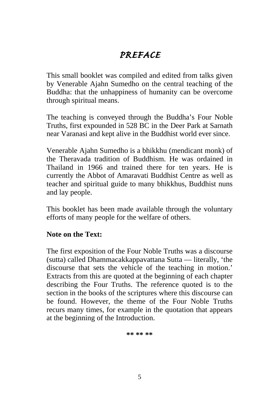### *PREFACE*

<span id="page-4-0"></span>This small booklet was compiled and edited from talks given by Venerable Ajahn Sumedho on the central teaching of the Buddha: that the unhappiness of humanity can be overcome through spiritual means.

The teaching is conveyed through the Buddha's Four Noble Truths, first expounded in 528 BC in the Deer Park at Sarnath near Varanasi and kept alive in the Buddhist world ever since.

Venerable Ajahn Sumedho is a bhikkhu (mendicant monk) of the Theravada tradition of Buddhism. He was ordained in Thailand in 1966 and trained there for ten years. He is currently the Abbot of Amaravati Buddhist Centre as well as teacher and spiritual guide to many bhikkhus, Buddhist nuns and lay people.

This booklet has been made available through the voluntary efforts of many people for the welfare of others.

#### **Note on the Text:**

The first exposition of the Four Noble Truths was a discourse (sutta) called Dhammacakkappavattana Sutta — literally, 'the discourse that sets the vehicle of the teaching in motion.' Extracts from this are quoted at the beginning of each chapter describing the Four Truths. The reference quoted is to the section in the books of the scriptures where this discourse can be found. However, the theme of the Four Noble Truths recurs many times, for example in the quotation that appears at the beginning of the Introduction.

**\*\* \*\* \*\***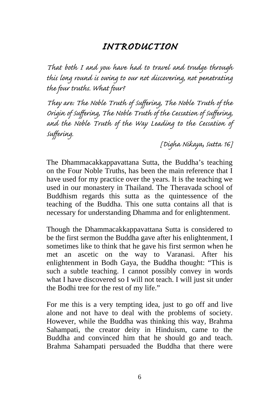### *INTRODUCTION*

<span id="page-5-0"></span>*That both I and you have had to travel and trudge through this long round is owing to our not discovering, not penetrating the four truths. What four?*

*They are: The Noble Truth of Suffering, The Noble Truth of the Origin of Suffering, The Noble Truth of the Cessation of Suffering, and the Noble Truth of the Way Leading to the Cessation of Suffering.*

*[Digha Nikaya, Sutta 16]*

The Dhammacakkappavattana Sutta, the Buddha's teaching on the Four Noble Truths, has been the main reference that I have used for my practice over the years. It is the teaching we used in our monastery in Thailand. The Theravada school of Buddhism regards this sutta as the quintessence of the teaching of the Buddha. This one sutta contains all that is necessary for understanding Dhamma and for enlightenment.

Though the Dhammacakkappavattana Sutta is considered to be the first sermon the Buddha gave after his enlightenment, I sometimes like to think that he gave his first sermon when he met an ascetic on the way to Varanasi. After his enlightenment in Bodh Gaya, the Buddha thought: "This is such a subtle teaching. I cannot possibly convey in words what I have discovered so I will not teach. I will just sit under the Bodhi tree for the rest of my life."

For me this is a very tempting idea, just to go off and live alone and not have to deal with the problems of society. However, while the Buddha was thinking this way, Brahma Sahampati, the creator deity in Hinduism, came to the Buddha and convinced him that he should go and teach. Brahma Sahampati persuaded the Buddha that there were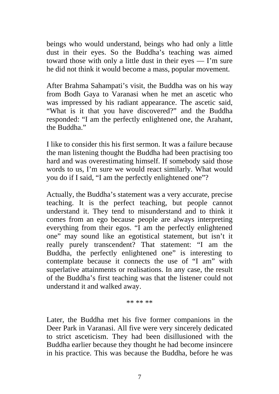beings who would understand, beings who had only a little dust in their eyes. So the Buddha's teaching was aimed toward those with only a little dust in their eyes — I'm sure he did not think it would become a mass, popular movement.

After Brahma Sahampati's visit, the Buddha was on his way from Bodh Gaya to Varanasi when he met an ascetic who was impressed by his radiant appearance. The ascetic said, "What is it that you have discovered?" and the Buddha responded: "I am the perfectly enlightened one, the Arahant, the Buddha."

I like to consider this his first sermon. It was a failure because the man listening thought the Buddha had been practising too hard and was overestimating himself. If somebody said those words to us, I'm sure we would react similarly. What would you do if I said, "I am the perfectly enlightened one"?

Actually, the Buddha's statement was a very accurate, precise teaching. It is the perfect teaching, but people cannot understand it. They tend to misunderstand and to think it comes from an ego because people are always interpreting everything from their egos. "I am the perfectly enlightened one" may sound like an egotistical statement, but isn't it really purely transcendent? That statement: "I am the Buddha, the perfectly enlightened one" is interesting to contemplate because it connects the use of "I am" with superlative attainments or realisations. In any case, the result of the Buddha's first teaching was that the listener could not understand it and walked away.

\*\* \*\* \*\*

Later, the Buddha met his five former companions in the Deer Park in Varanasi. All five were very sincerely dedicated to strict asceticism. They had been disillusioned with the Buddha earlier because they thought he had become insincere in his practice. This was because the Buddha, before he was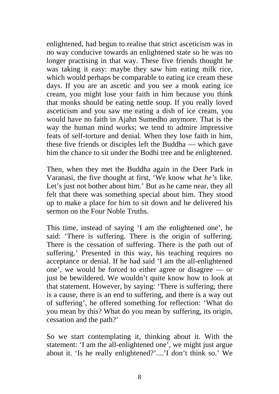enlightened, had begun to realise that strict asceticism was in no way conducive towards an enlightened state so he was no longer practising in that way. These five friends thought he was taking it easy: maybe they saw him eating milk rice, which would perhaps be comparable to eating ice cream these days. If you are an ascetic and you see a monk eating ice cream, you might lose your faith in him because you think that monks should be eating nettle soup. If you really loved asceticism and you saw me eating a dish of ice cream, you would have no faith in Ajahn Sumedho anymore. That is the way the human mind works; we tend to admire impressive feats of self-torture and denial. When they lose faith in him, these five friends or disciples left the Buddha — which gave him the chance to sit under the Bodhi tree and be enlightened.

Then, when they met the Buddha again in the Deer Park in Varanasi, the five thought at first, 'We know what *he's* like. Let's just not bother about him.' But as he came near, they all felt that there was something special about him. They stood up to make a place for him to sit down and he delivered his sermon on the Four Noble Truths.

This time, instead of saying 'I am the enlightened one', he said: 'There is suffering. There is the origin of suffering. There is the cessation of suffering. There is the path out of suffering.' Presented in this way, his teaching requires no acceptance or denial. If he had said 'I am the all-enlightened one', we would be forced to either agree or disagree — or just be bewildered. We wouldn't quite know how to look at that statement. However, by saying: 'There is suffering, there is a cause, there is an end to suffering, and there is a way out of suffering', he offered something for reflection: 'What do you mean by this? What do you mean by suffering, its origin, cessation and the path?'

So we start contemplating it, thinking about it. With the statement: 'I am the all-enlightened one', we might just argue about it. 'Is he really enlightened?'....'I don't think so.' We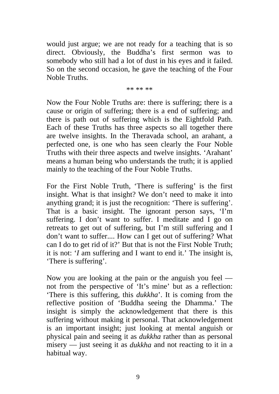would just argue; we are not ready for a teaching that is so direct. Obviously, the Buddha's first sermon was to somebody who still had a lot of dust in his eyes and it failed. So on the second occasion, he gave the teaching of the Four Noble Truths.

\*\* \*\* \*\*

Now the Four Noble Truths are: there is suffering; there is a cause or origin of suffering; there is a end of suffering; and there is path out of suffering which is the Eightfold Path. Each of these Truths has three aspects so all together there are twelve insights. In the Theravada school, an arahant, a perfected one, is one who has seen clearly the Four Noble Truths with their three aspects and twelve insights. 'Arahant' means a human being who understands the truth; it is applied mainly to the teaching of the Four Noble Truths.

For the First Noble Truth, 'There is suffering' is the first insight. What is that insight? We don't need to make it into anything grand; it is just the recognition: 'There is suffering'. That is a basic insight. The ignorant person says, 'I'm suffering. I don't want to suffer. I meditate and I go on retreats to get out of suffering, but I'm still suffering and I don't want to suffer.... How can I get out of suffering? What can I do to get rid of it?' But that is not the First Noble Truth; it is not: '*I* am suffering and I want to end it.' The insight is, 'There is suffering'.

Now you are looking at the pain or the anguish you feel not from the perspective of 'It's mine' but as a reflection: 'There is this suffering, this *dukkha*'. It is coming from the reflective position of 'Buddha seeing the Dhamma.' The insight is simply the acknowledgement that there is this suffering without making it personal. That acknowledgement is an important insight; just looking at mental anguish or physical pain and seeing it as *dukkha* rather than as personal misery — just seeing it as *dukkha* and not reacting to it in a habitual way.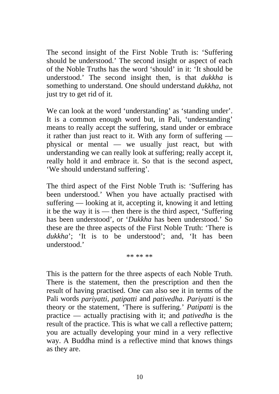The second insight of the First Noble Truth is: 'Suffering should be understood.' The second insight or aspect of each of the Noble Truths has the word 'should' in it: 'It should be understood.' The second insight then, is that *dukkha* is something to understand. One should understand *dukkha*, not just try to get rid of it.

We can look at the word 'understanding' as 'standing under'. It is a common enough word but, in Pali, 'understanding' means to really accept the suffering, stand under or embrace it rather than just react to it. With any form of suffering physical or mental — we usually just react, but with understanding we can really look at suffering; really accept it, really hold it and embrace it. So that is the second aspect, 'We should understand suffering'.

The third aspect of the First Noble Truth is: 'Suffering has been understood.' When you have actually practised with suffering — looking at it, accepting it, knowing it and letting it be the way it is — then there is the third aspect, 'Suffering has been understood', or '*Dukkha* has been understood.' So these are the three aspects of the First Noble Truth: 'There is dukkha'; 'It is to be understood'; and, 'It has been understood.'

\*\* \*\* \*\*

This is the pattern for the three aspects of each Noble Truth. There is the statement, then the prescription and then the result of having practised. One can also see it in terms of the Pali words *pariyatti*, *patipatti* and *pativedha*. *Pariyatti* is the theory or the statement, 'There is suffering.' *Patipatti* is the practice — actually practising with it; and *pativedha* is the result of the practice. This is what we call a reflective pattern; you are actually developing your mind in a very reflective way. A Buddha mind is a reflective mind that knows things as they are.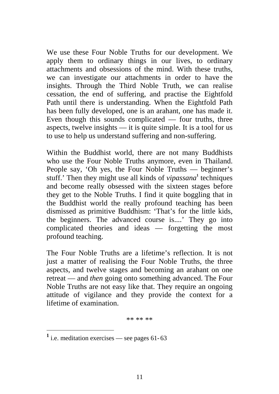We use these Four Noble Truths for our development. We apply them to ordinary things in our lives, to ordinary attachments and obsessions of the mind. With these truths, we can investigate our attachments in order to have the insights. Through the Third Noble Truth, we can realise cessation, the end of suffering, and practise the Eightfold Path until there is understanding. When the Eightfold Path has been fully developed, one is an arahant, one has made it. Even though this sounds complicated  $-$  four truths, three aspects, twelve insights — it is quite simple. It is a tool for us to use to help us understand suffering and non-suffering.

Within the Buddhist world, there are not many Buddhists who use the Four Noble Truths anymore, even in Thailand. People say, 'Oh yes, the Four Noble Truths — beginner's stuff.' Then they might use all kinds of *vipassana*<sup>1</sup> techniques and become really obsessed with the sixteen stages before they get to the Noble Truths. I find it quite boggling that in the Buddhist world the really profound teaching has been dismissed as primitive Buddhism: 'That's for the little kids, the beginners. The advanced course is....' They go into complicated theories and ideas — forgetting the most profound teaching.

The Four Noble Truths are a lifetime's reflection. It is not just a matter of realising the Four Noble Truths, the three aspects, and twelve stages and becoming an arahant on one retreat — and *then* going onto something advanced. The Four Noble Truths are not easy like that. They require an ongoing attitude of vigilance and they provide the context for a lifetime of examination.

\*\* \*\* \*\*

 $\ddot{\phantom{a}}$ 

<sup>&</sup>lt;sup>1</sup> i.e. meditation exercises — see pages 61-63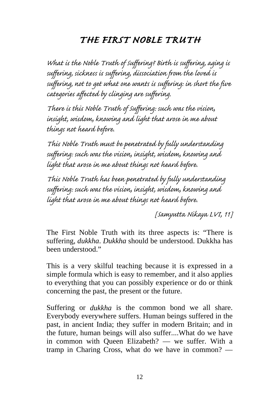### *THE FIRST NOBLE TRUTH*

<span id="page-11-0"></span>*What is the Noble Truth of Suffering? Birth is suffering, aging is suffering, sickness is suffering, dissociation from the loved is suffering, not to get what one wants is suffering: in short the five categories affected by clinging are suffering.*

*There is this Noble Truth of Suffering: such was the vision, insight, wisdom, knowing and light that arose in me about things not heard before.*

*This Noble Truth must be penetrated by fully understanding suffering: such was the vision, insight, wisdom, knowing and light that arose in me about things not heard before.*

*This Noble Truth has been penetrated by fully understanding suffering: such was the vision, insight, wisdom, knowing and light that arose in me about things not heard before.*

*[Samyutta Nikaya LVI, 11]*

The First Noble Truth with its three aspects is: "There is suffering, *dukkha*. *Dukkha* should be understood. Dukkha has been understood."

This is a very skilful teaching because it is expressed in a simple formula which is easy to remember, and it also applies to everything that you can possibly experience or do or think concerning the past, the present or the future.

Suffering or *dukkha* is the common bond we all share. Everybody everywhere suffers. Human beings suffered in the past, in ancient India; they suffer in modern Britain; and in the future, human beings will also suffer....What do we have in common with Queen Elizabeth? — we suffer. With a tramp in Charing Cross, what do we have in common? —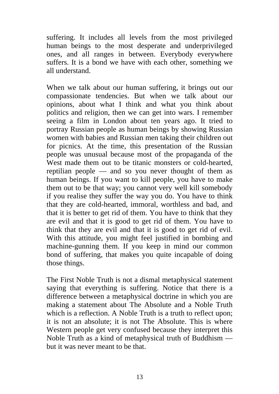suffering. It includes all levels from the most privileged human beings to the most desperate and underprivileged ones, and all ranges in between. Everybody everywhere suffers. It is a bond we have with each other, something we all understand.

When we talk about our human suffering, it brings out our compassionate tendencies. But when we talk about our opinions, about what I think and what you think about politics and religion, then we can get into wars. I remember seeing a film in London about ten years ago. It tried to portray Russian people as human beings by showing Russian women with babies and Russian men taking their children out for picnics. At the time, this presentation of the Russian people was unusual because most of the propaganda of the West made them out to be titanic monsters or cold-hearted, reptilian people — and so you never thought of them as human beings. If you want to kill people, you have to make them out to be that way; you cannot very well kill somebody if you realise they suffer the way you do. You have to think that they are cold-hearted, immoral, worthless and bad, and that it is better to get rid of them. You have to think that they are evil and that it is good to get rid of them. You have to think that they are evil and that it is good to get rid of evil. With this attitude, you might feel justified in bombing and machine-gunning them. If you keep in mind our common bond of suffering, that makes you quite incapable of doing those things.

The First Noble Truth is not a dismal metaphysical statement saying that everything is suffering. Notice that there is a difference between a metaphysical doctrine in which you are making a statement about The Absolute and a Noble Truth which is a reflection. A Noble Truth is a truth to reflect upon; it is not an absolute; it is not The Absolute. This is where Western people get very confused because they interpret this Noble Truth as a kind of metaphysical truth of Buddhism but it was never meant to be that.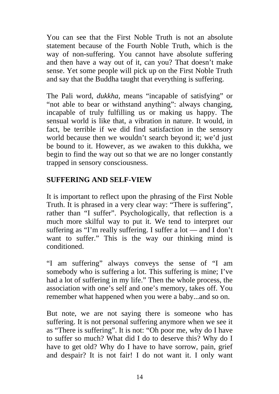<span id="page-13-0"></span>You can see that the First Noble Truth is not an absolute statement because of the Fourth Noble Truth, which is the way of non-suffering. You cannot have absolute suffering and then have a way out of it, can you? That doesn't make sense. Yet some people will pick up on the First Noble Truth and say that the Buddha taught that everything is suffering.

The Pali word, *dukkha*, means "incapable of satisfying" or "not able to bear or withstand anything": always changing, incapable of truly fulfilling us or making us happy. The sensual world is like that, a vibration in nature. It would, in fact, be terrible if we did find satisfaction in the sensory world because then we wouldn't search beyond it; we'd just be bound to it. However, as we awaken to this dukkha, we begin to find the way out so that we are no longer constantly trapped in sensory consciousness.

### **SUFFERING AND SELF-VIEW**

It is important to reflect upon the phrasing of the First Noble Truth. It is phrased in a very clear way: "There is suffering", rather than "I suffer". Psychologically, that reflection is a much more skilful way to put it. We tend to interpret our suffering as "I'm really suffering. I suffer a lot — and I don't want to suffer." This is the way our thinking mind is conditioned.

"I am suffering" always conveys the sense of "I am somebody who is suffering a lot. This suffering is mine; I've had a lot of suffering in my life." Then the whole process, the association with one's self and one's memory, takes off. You remember what happened when you were a baby...and so on.

But note, we are not saying there is someone who has suffering. It is not personal suffering anymore when we see it as "There is suffering". It is not: "Oh poor me, why do I have to suffer so much? What did I do to deserve this? Why do I have to get old? Why do I have to have sorrow, pain, grief and despair? It is not fair! I do not want it. I only want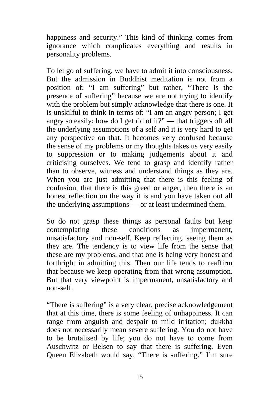happiness and security." This kind of thinking comes from ignorance which complicates everything and results in personality problems.

To let go of suffering, we have to admit it into consciousness. But the admission in Buddhist meditation is not from a position of: "I am suffering" but rather, "There is the presence of suffering" because we are not trying to identify with the problem but simply acknowledge that there is one. It is unskilful to think in terms of: "I am an angry person; I get angry so easily; how do I get rid of it?" — that triggers off all the underlying assumptions of a self and it is very hard to get any perspective on that. It becomes very confused because the sense of my problems or my thoughts takes us very easily to suppression or to making judgements about it and criticising ourselves. We tend to grasp and identify rather than to observe, witness and understand things as they are. When you are just admitting that there is this feeling of confusion, that there is this greed or anger, then there is an honest reflection on the way it is and you have taken out all the underlying assumptions — or at least undermined them.

So do not grasp these things as personal faults but keep contemplating these conditions as impermanent, unsatisfactory and non-self. Keep reflecting, seeing them as they are. The tendency is to view life from the sense that these are my problems, and that one is being very honest and forthright in admitting this. Then our life tends to reaffirm that because we keep operating from that wrong assumption. But that very viewpoint is impermanent, unsatisfactory and non-self.

"There is suffering" is a very clear, precise acknowledgement that at this time, there is some feeling of unhappiness. It can range from anguish and despair to mild irritation; dukkha does not necessarily mean severe suffering. You do not have to be brutalised by life; you do not have to come from Auschwitz or Belsen to say that there is suffering. Even Queen Elizabeth would say, "There is suffering." I'm sure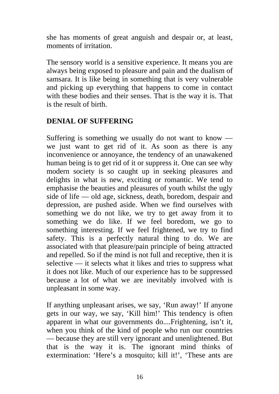<span id="page-15-0"></span>she has moments of great anguish and despair or, at least, moments of irritation.

The sensory world is a sensitive experience. It means you are always being exposed to pleasure and pain and the dualism of samsara. It is like being in something that is very vulnerable and picking up everything that happens to come in contact with these bodies and their senses. That is the way it is. That is the result of birth.

### **DENIAL OF SUFFERING**

Suffering is something we usually do not want to know we just want to get rid of it. As soon as there is any inconvenience or annoyance, the tendency of an unawakened human being is to get rid of it or suppress it. One can see why modern society is so caught up in seeking pleasures and delights in what is new, exciting or romantic. We tend to emphasise the beauties and pleasures of youth whilst the ugly side of life — old age, sickness, death, boredom, despair and depression, are pushed aside. When we find ourselves with something we do not like, we try to get away from it to something we do like. If we feel boredom, we go to something interesting. If we feel frightened, we try to find safety. This is a perfectly natural thing to do. We are associated with that pleasure/pain principle of being attracted and repelled. So if the mind is not full and receptive, then it is selective — it selects what it likes and tries to suppress what it does not like. Much of our experience has to be suppressed because a lot of what we are inevitably involved with is unpleasant in some way.

If anything unpleasant arises, we say, 'Run away!' If anyone gets in our way, we say, 'Kill him!' This tendency is often apparent in what our governments do....Frightening, isn't it, when you think of the kind of people who run our countries — because they are still very ignorant and unenlightened. But that is the way it is. The ignorant mind thinks of extermination: 'Here's a mosquito; kill it!', 'These ants are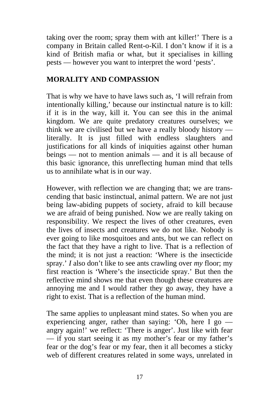<span id="page-16-0"></span>taking over the room; spray them with ant killer!' There is a company in Britain called Rent-o-Kil. I don't know if it is a kind of British mafia or what, but it specialises in killing pests — however you want to interpret the word 'pests'.

### **MORALITY AND COMPASSION**

That is why we have to have laws such as, 'I will refrain from intentionally killing,' because our instinctual nature is to kill: if it is in the way, kill it. You can see this in the animal kingdom. We are quite predatory creatures ourselves; we think we are civilised but we have a really bloody history literally. It is just filled with endless slaughters and justifications for all kinds of iniquities against other human beings — not to mention animals — and it is all because of this basic ignorance, this unreflecting human mind that tells us to annihilate what is in our way.

However, with reflection we are changing that; we are transcending that basic instinctual, animal pattern. We are not just being law-abiding puppets of society, afraid to kill because we are afraid of being punished. Now we are really taking on responsibility. We respect the lives of other creatures, even the lives of insects and creatures we do not like. Nobody is ever going to like mosquitoes and ants, but we can reflect on the fact that they have a right to live. That is a reflection of the mind; it is not just a reaction: 'Where is the insecticide spray.' *I* also don't like to see ants crawling over *my* floor; my first reaction is 'Where's the insecticide spray.' But then the reflective mind shows me that even though these creatures are annoying me and I would rather they go away, they have a right to exist. That is a reflection of the human mind.

The same applies to unpleasant mind states. So when you are experiencing anger, rather than saying: 'Oh, here I go angry again!' we reflect: 'There is anger'. Just like with fear — if you start seeing it as my mother's fear or my father's fear or the dog's fear or my fear, then it all becomes a sticky web of different creatures related in some ways, unrelated in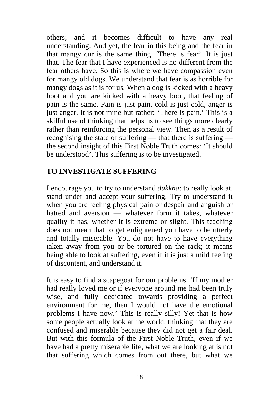<span id="page-17-0"></span>others; and it becomes difficult to have any real understanding. And yet, the fear in this being and the fear in that mangy cur is the same thing. 'There is fear'. It is just that. The fear that I have experienced is no different from the fear others have. So this is where we have compassion even for mangy old dogs. We understand that fear is as horrible for mangy dogs as it is for us. When a dog is kicked with a heavy boot and you are kicked with a heavy boot, that feeling of pain is the same. Pain is just pain, cold is just cold, anger is just anger. It is not mine but rather: 'There is pain.' This is a skilful use of thinking that helps us to see things more clearly rather than reinforcing the personal view. Then as a result of recognising the state of suffering — that there is suffering the second insight of this First Noble Truth comes: 'It should be understood'. This suffering is to be investigated.

### **TO INVESTIGATE SUFFERING**

I encourage you to try to understand *dukkha*: to really look at, stand under and accept your suffering. Try to understand it when you are feeling physical pain or despair and anguish or hatred and aversion — whatever form it takes, whatever quality it has, whether it is extreme or slight. This teaching does not mean that to get enlightened you have to be utterly and totally miserable. You do not have to have everything taken away from you or be tortured on the rack; it means being able to look at suffering, even if it is just a mild feeling of discontent, and understand it.

It is easy to find a scapegoat for our problems. 'If my mother had really loved me or if everyone around me had been truly wise, and fully dedicated towards providing a perfect environment for me, then I would not have the emotional problems I have now.' This is really silly! Yet that is how some people actually look at the world, thinking that they are confused and miserable because they did not get a fair deal. But with this formula of the First Noble Truth, even if we have had a pretty miserable life, what we are looking at is not that suffering which comes from out there, but what we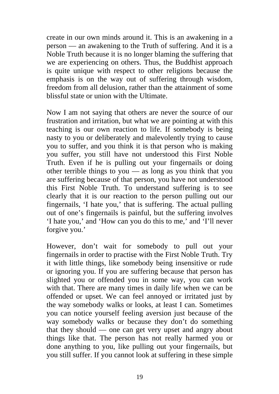create in our own minds around it. This is an awakening in a person — an awakening to the Truth of suffering. And it is a Noble Truth because it is no longer blaming the suffering that we are experiencing on others. Thus, the Buddhist approach is quite unique with respect to other religions because the emphasis is on the way out of suffering through wisdom, freedom from all delusion, rather than the attainment of some blissful state or union with the Ultimate.

Now I am not saying that others are never the source of our frustration and irritation, but what we are pointing at with this teaching is our own reaction to life. If somebody is being nasty to you or deliberately and malevolently trying to cause you to suffer, and you think it is that person who is making you suffer, you still have not understood this First Noble Truth. Even if he is pulling out your fingernails or doing other terrible things to you — as long as you think that you are suffering because of that person, you have not understood this First Noble Truth. To understand suffering is to see clearly that it is our reaction to the person pulling out our fingernails, 'I hate you,' that is suffering. The actual pulling out of one's fingernails is painful, but the suffering involves 'I hate you,' and 'How can you do this to me,' and 'I'll never forgive you.'

However, don't wait for somebody to pull out your fingernails in order to practise with the First Noble Truth. Try it with little things, like somebody being insensitive or rude or ignoring you. If you are suffering because that person has slighted you or offended you in some way, you can work with that. There are many times in daily life when we can be offended or upset. We can feel annoyed or irritated just by the way somebody walks or looks, at least I can. Sometimes you can notice yourself feeling aversion just because of the way somebody walks or because they don't do something that they should — one can get very upset and angry about things like that. The person has not really harmed you or done anything to you, like pulling out your fingernails, but you still suffer. If you cannot look at suffering in these simple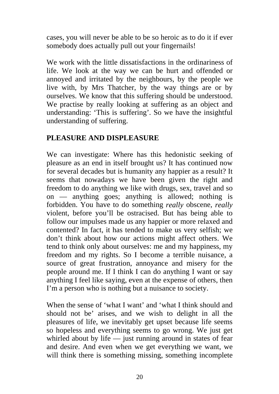<span id="page-19-0"></span>cases, you will never be able to be so heroic as to do it if ever somebody does actually pull out your fingernails!

We work with the little dissatisfactions in the ordinariness of life. We look at the way we can be hurt and offended or annoyed and irritated by the neighbours, by the people we live with, by Mrs Thatcher, by the way things are or by ourselves. We know that this suffering should be understood. We practise by really looking at suffering as an object and understanding: 'This is suffering'. So we have the insightful understanding of suffering.

### **PLEASURE AND DISPLEASURE**

We can investigate: Where has this hedonistic seeking of pleasure as an end in itself brought us? It has continued now for several decades but is humanity any happier as a result? It seems that nowadays we have been given the right and freedom to do anything we like with drugs, sex, travel and so on — anything goes; anything is allowed; nothing is forbidden. You have to do something *really* obscene, *really* violent, before you'll be ostracised. But has being able to follow our impulses made us any happier or more relaxed and contented? In fact, it has tended to make us very selfish; we don't think about how our actions might affect others. We tend to think only about ourselves: me and my happiness, my freedom and my rights. So I become a terrible nuisance, a source of great frustration, annoyance and misery for the people around me. If I think I can do anything I want or say anything I feel like saying, even at the expense of others, then I'm a person who is nothing but a nuisance to society.

When the sense of 'what I want' and 'what I think should and should not be' arises, and we wish to delight in all the pleasures of life, we inevitably get upset because life seems so hopeless and everything seems to go wrong. We just get whirled about by life — just running around in states of fear and desire. And even when we get everything we want, we will think there is something missing, something incomplete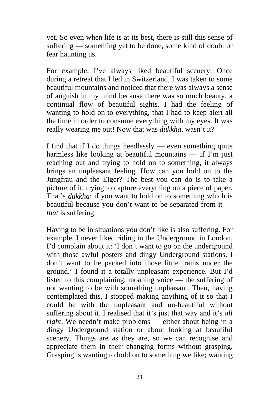yet. So even when life is at its best, there is still this sense of suffering — something yet to be done, some kind of doubt or fear haunting us.

For example, I've always liked beautiful scenery. Once during a retreat that I led in Switzerland, I was taken to some beautiful mountains and noticed that there was always a sense of anguish in my mind because there was so much beauty, a continual flow of beautiful sights. I had the feeling of wanting to hold on to everything, that I had to keep alert all the time in order to consume everything with my eyes. It was really wearing me out! Now that was *dukkha*, wasn't it?

I find that if I do things heedlessly — even something quite harmless like looking at beautiful mountains — if I'm just reaching out and trying to hold on to something, it always brings an unpleasant feeling. How can you hold on to the Jungfrau and the Eiger? The best you can do is to take a picture of it, trying to capture everything on a piece of paper. That's *dukkha*; if you want to hold on to something which is beautiful because you don't want to be separated from it *that* is suffering.

Having to be in situations you don't like is also suffering. For example, I never liked riding in the Underground in London. I'd complain about it: 'I don't want to go on the underground with those awful posters and dingy Underground stations. I don't want to be packed into those little trains under the ground.' I found it a totally unpleasant experience. But I'd listen to this complaining, moaning voice — the suffering of not wanting to be with something unpleasant. Then, having contemplated this, I stopped making anything of it so that I could be with the unpleasant and un-beautiful without suffering about it. I realised that it's just that way and it's *all right*. We needn't make problems — either about being in a dingy Underground station or about looking at beautiful scenery. Things are as they are, so we can recognise and appreciate them in their changing forms without grasping. Grasping is wanting to hold on to something we like; wanting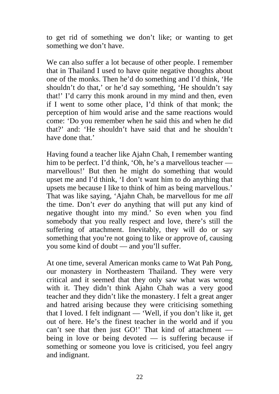to get rid of something we don't like; or wanting to get something we don't have.

We can also suffer a lot because of other people. I remember that in Thailand I used to have quite negative thoughts about one of the monks. Then he'd do something and I'd think, 'He shouldn't do that,' or he'd say something, 'He shouldn't say that!' I'd carry this monk around in my mind and then, even if I went to some other place, I'd think of that monk; the perception of him would arise and the same reactions would come: 'Do you remember when he said this and when he did that?' and: 'He shouldn't have said that and he shouldn't have done that.'

Having found a teacher like Ajahn Chah, I remember wanting him to be perfect. I'd think, 'Oh, he's a marvellous teacher marvellous!' But then he might do something that would upset me and I'd think, 'I don't want him to do anything that upsets me because I like to think of him as being marvellous.' That was like saying, 'Ajahn Chah, be marvellous for me *all* the time. Don't *ever* do anything that will put any kind of negative thought into my mind.' So even when you find somebody that you really respect and love, there's still the suffering of attachment. Inevitably, they will do or say something that you're not going to like or approve of, causing you some kind of doubt — and you'll suffer.

At one time, several American monks came to Wat Pah Pong, our monastery in Northeastern Thailand. They were very critical and it seemed that they only saw what was wrong with it. They didn't think Ajahn Chah was a very good teacher and they didn't like the monastery. I felt a great anger and hatred arising because they were criticising something that I loved. I felt indignant — 'Well, if you don't like it, get out of here. He's the finest teacher in the world and if you can't see that then just GO!' That kind of attachment being in love or being devoted — is suffering because if something or someone you love is criticised, you feel angry and indignant.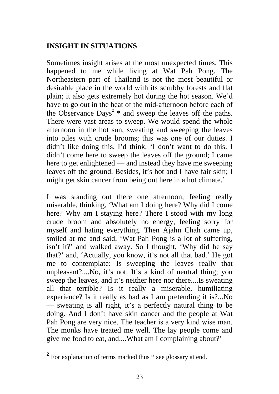### <span id="page-22-0"></span>**INSIGHT IN SITUATIONS**

Sometimes insight arises at the most unexpected times. This happened to me while living at Wat Pah Pong. The Northeastern part of Thailand is not the most beautiful or desirable place in the world with its scrubby forests and flat plain; it also gets extremely hot during the hot season. We'd have to go out in the heat of the mid-afternoon before each of the Observance Days<sup>2</sup>  $*$  and sweep the leaves off the paths. There were vast areas to sweep. We would spend the whole afternoon in the hot sun, sweating and sweeping the leaves into piles with crude brooms; this was one of our duties. I didn't like doing this. I'd think, 'I don't want to do this. I didn't come here to sweep the leaves off the ground; I came here to get enlightened — and instead they have me sweeping leaves off the ground. Besides, it's hot and I have fair skin; I might get skin cancer from being out here in a hot climate.'

I was standing out there one afternoon, feeling really miserable, thinking, 'What am I doing here? Why did I come here? Why am I staying here? There I stood with my long crude broom and absolutely no energy, feeling sorry for myself and hating everything. Then Ajahn Chah came up, smiled at me and said, 'Wat Pah Pong is a lot of suffering, isn't it?' and walked away. So I thought, 'Why did he say that?' and, 'Actually, you know, it's not all that bad.' He got me to contemplate: Is sweeping the leaves really that unpleasant?....No, it's not. It's a kind of neutral thing; you sweep the leaves, and it's neither here nor there....Is sweating all that terrible? Is it really a miserable, humiliating experience? Is it really as bad as I am pretending it is?...No — sweating is all right, it's a perfectly natural thing to be doing. And I don't have skin cancer and the people at Wat Pah Pong are very nice. The teacher is a very kind wise man. The monks have treated me well. The lay people come and give me food to eat, and....What am I complaining about?'

 $\overline{a}$ 

<sup>&</sup>lt;sup>2</sup> For explanation of terms marked thus  $*$  see glossary at end.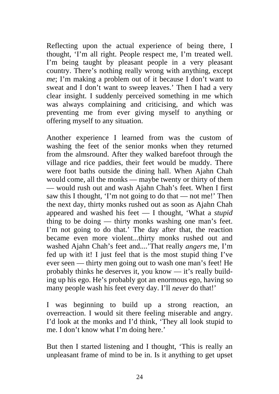Reflecting upon the actual experience of being there, I thought, 'I'm all right. People respect me, I'm treated well. I'm being taught by pleasant people in a very pleasant country. There's nothing really wrong with anything, except *me*; I'm making a problem out of it because I don't want to sweat and I don't want to sweep leaves.' Then I had a very clear insight. I suddenly perceived something in me which was always complaining and criticising, and which was preventing me from ever giving myself to anything or offering myself to any situation.

Another experience I learned from was the custom of washing the feet of the senior monks when they returned from the almsround. After they walked barefoot through the village and rice paddies, their feet would be muddy. There were foot baths outside the dining hall. When Ajahn Chah would come, all the monks — maybe twenty or thirty of them — would rush out and wash Ajahn Chah's feet. When I first saw this I thought, 'I'm not going to do that — not me!' Then the next day, thirty monks rushed out as soon as Ajahn Chah appeared and washed his feet — I thought, 'What a *stupid* thing to be doing — thirty monks washing one man's feet. I'm not going to do that.' The day after that, the reaction became even more violent...thirty monks rushed out and washed Ajahn Chah's feet and....'That really *angers* me, I'm fed up with it! I just feel that is the most stupid thing I've ever seen — thirty men going out to wash one man's feet! He probably thinks he deserves it, you know — it's really building up his ego. He's probably got an enormous ego, having so many people wash his feet every day. I'll *never* do that!'

I was beginning to build up a strong reaction, an overreaction. I would sit there feeling miserable and angry. I'd look at the monks and I'd think, 'They all look stupid to me. I don't know what I'm doing here.'

But then I started listening and I thought, 'This is really an unpleasant frame of mind to be in. Is it anything to get upset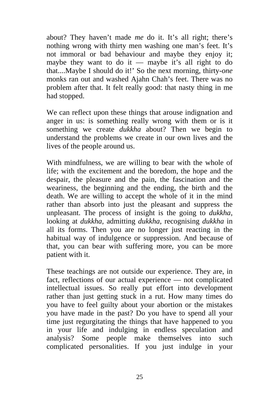about? They haven't made *me* do it. It's all right; there's nothing wrong with thirty men washing one man's feet. It's not immoral or bad behaviour and maybe they enjoy it; maybe they want to do it — maybe it's all right to do that....Maybe I should do it!' So the next morning, thirty-*one* monks ran out and washed Ajahn Chah's feet. There was no problem after that. It felt really good: that nasty thing in me had stopped.

We can reflect upon these things that arouse indignation and anger in us: is something really wrong with them or is it something we create *dukkha* about? Then we begin to understand the problems we create in our own lives and the lives of the people around us.

With mindfulness, we are willing to bear with the whole of life; with the excitement and the boredom, the hope and the despair, the pleasure and the pain, the fascination and the weariness, the beginning and the ending, the birth and the death. We are willing to accept the whole of it in the mind rather than absorb into just the pleasant and suppress the unpleasant. The process of insight is the going to *dukkha*, looking at *dukkha*, admitting *dukkha*, recognising *dukkha* in all its forms. Then you are no longer just reacting in the habitual way of indulgence or suppression. And because of that, you can bear with suffering more, you can be more patient with it.

These teachings are not outside our experience. They are, in fact, reflections of our actual experience — not complicated intellectual issues. So really put effort into development rather than just getting stuck in a rut. How many times do you have to feel guilty about your abortion or the mistakes you have made in the past? Do you have to spend all your time just regurgitating the things that have happened to you in your life and indulging in endless speculation and analysis? Some people make themselves into such complicated personalities. If you just indulge in your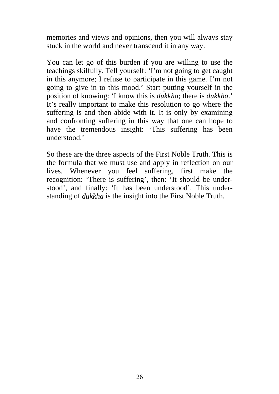memories and views and opinions, then you will always stay stuck in the world and never transcend it in any way.

You can let go of this burden if you are willing to use the teachings skilfully. Tell yourself: 'I'm not going to get caught in this anymore; I refuse to participate in this game. I'm not going to give in to this mood.' Start putting yourself in the position of knowing: 'I know this is *dukkha*; there is *dukkha*.' It's really important to make this resolution to go where the suffering is and then abide with it. It is only by examining and confronting suffering in this way that one can hope to have the tremendous insight: 'This suffering has been understood.'

So these are the three aspects of the First Noble Truth. This is the formula that we must use and apply in reflection on our lives. Whenever you feel suffering, first make the recognition: 'There is suffering', then: 'It should be understood', and finally: 'It has been understood'. This understanding of *dukkha* is the insight into the First Noble Truth.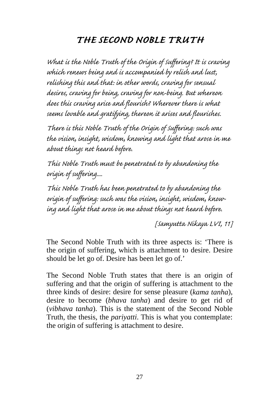### *THE SECOND NOBLE TRUTH*

<span id="page-26-0"></span>*What is the Noble Truth of the Origin of Suffering? It is craving which renews being and is accompanied by relish and lust, relishing this and that: in other words, craving for sensual desires, craving for being, craving for non-being. But whereon does this craving arise and flourish? Wherever there is what seems lovable and gratifying, thereon it arises and flourishes.*

*There is this Noble Truth of the Origin of Suffering: such was the vision, insight, wisdom, knowing and light that arose in me about things not heard before.*

*This Noble Truth must be penetrated to by abandoning the origin of suffering....*

*This Noble Truth has been penetrated to by abandoning the origin of suffering: such was the vision, insight, wisdom, knowing and light that arose in me about things not heard before.*

*[Samyutta Nikaya LVI, 11]*

The Second Noble Truth with its three aspects is: 'There is the origin of suffering, which is attachment to desire. Desire should be let go of. Desire has been let go of.'

The Second Noble Truth states that there is an origin of suffering and that the origin of suffering is attachment to the three kinds of desire: desire for sense pleasure (*kama tanha*), desire to become (*bhava tanha*) and desire to get rid of (*vibhava tanha*). This is the statement of the Second Noble Truth, the thesis, the *pariyatti*. This is what you contemplate: the origin of suffering is attachment to desire.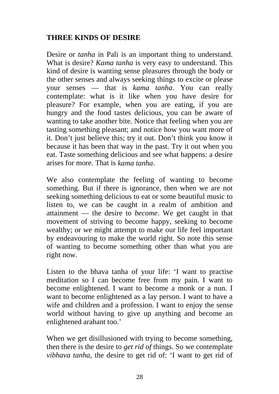### <span id="page-27-0"></span>**THREE KINDS OF DESIRE**

Desire or *tanha* in Pali is an important thing to understand. What is desire? *Kama tanha* is very easy to understand. This kind of desire is wanting sense pleasures through the body or the other senses and always seeking things to excite or please your senses — that is *kama tanha*. You can really contemplate: what is it like when you have desire for pleasure? For example, when you are eating, if you are hungry and the food tastes delicious, you can be aware of wanting to take another bite. Notice that feeling when you are tasting something pleasant; and notice how you want more of it. Don't just believe this; try it out. Don't think you know it because it has been that way in the past. Try it out when you eat. Taste something delicious and see what happens: a desire arises for more. That is *kama tanha*.

We also contemplate the feeling of wanting to become something. But if there is ignorance, then when we are not seeking something delicious to eat or some beautiful music to listen to, we can be caught in a realm of ambition and attainment — the desire to *become*. We get caught in that movement of striving to become happy, seeking to become wealthy; or we might attempt to make our life feel important by endeavouring to make the world right. So note this sense of wanting to become something other than what you are right now.

Listen to the bhava tanha of your life: 'I want to practise meditation so I can become free from my pain. I want to become enlightened. I want to become a monk or a nun. I want to become enlightened as a lay person. I want to have a wife and children and a profession. I want to enjoy the sense world without having to give up anything and become an enlightened arahant too.'

When we get disillusioned with trying to become something, then there is the desire to *get rid of* things. So we contemplate *vibhava tanha*, the desire to get rid of: 'I want to get rid of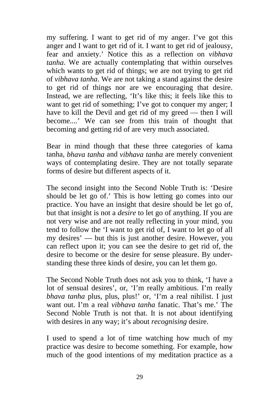my suffering. I want to get rid of my anger. I've got this anger and I want to get rid of it. I want to get rid of jealousy, fear and anxiety.' Notice this as a reflection on *vibhava tanha*. We are actually contemplating that within ourselves which wants to get rid of things; we are not trying to get rid of *vibhava tanha*. We are not taking a stand against the desire to get rid of things nor are we encouraging that desire. Instead, we are reflecting, 'It's like this; it feels like this to want to get rid of something; I've got to conquer my anger; I have to kill the Devil and get rid of my greed — then I will become....' We can see from this train of thought that becoming and getting rid of are very much associated.

Bear in mind though that these three categories of kama tanha, *bhava tanha* and *vibhava tanha* are merely convenient ways of contemplating desire. They are not totally separate forms of desire but different aspects of it.

The second insight into the Second Noble Truth is: 'Desire should be let go of.' This is how letting go comes into our practice. You have an insight that desire should be let go of, but that insight is not a *desire* to let go of anything. If you are not very wise and are not really reflecting in your mind, you tend to follow the 'I want to get rid of, I want to let go of all my desires' — but this is just another desire. However, you can reflect upon it; you can see the desire to get rid of, the desire to become or the desire for sense pleasure. By understanding these three kinds of desire, you can let them go.

The Second Noble Truth does not ask you to think, 'I have a lot of sensual desires', or, 'I'm really ambitious. I'm really *bhava tanha* plus, plus, plus!' or, 'I'm a real nihilist. I just want out. I'm a real *vibhava tanha* fanatic. That's me.' The Second Noble Truth is not that. It is not about identifying with desires in any way; it's about *recognising* desire.

I used to spend a lot of time watching how much of my practice was desire to become something. For example, how much of the good intentions of my meditation practice as a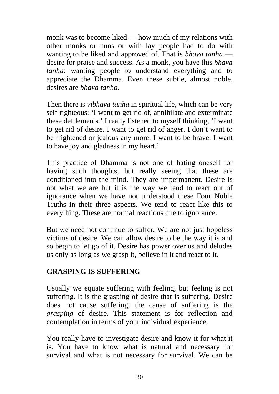<span id="page-29-0"></span>monk was to become liked — how much of my relations with other monks or nuns or with lay people had to do with wanting to be liked and approved of. That is *bhava tanha* desire for praise and success. As a monk, you have this *bhava tanha*: wanting people to understand everything and to appreciate the Dhamma. Even these subtle, almost noble, desires are *bhava tanha*.

Then there is *vibhava tanha* in spiritual life, which can be very self-righteous: 'I want to get rid of, annihilate and exterminate these defilements.' I really listened to myself thinking, 'I want to get rid of desire. I want to get rid of anger. I don't want to be frightened or jealous any more. I want to be brave. I want to have joy and gladness in my heart.'

This practice of Dhamma is not one of hating oneself for having such thoughts, but really seeing that these are conditioned into the mind. They are impermanent. Desire is not what we are but it is the way we tend to react out of ignorance when we have not understood these Four Noble Truths in their three aspects. We tend to react like this to everything. These are normal reactions due to ignorance.

But we need not continue to suffer. We are not just hopeless victims of desire. We can allow desire to be the way it is and so begin to let go of it. Desire has power over us and deludes us only as long as we grasp it, believe in it and react to it.

#### **GRASPING IS SUFFERING**

Usually we equate suffering with feeling, but feeling is not suffering. It is the grasping of desire that is suffering. Desire does not cause suffering; the cause of suffering is the *grasping* of desire. This statement is for reflection and contemplation in terms of your individual experience.

You really have to investigate desire and know it for what it is. You have to know what is natural and necessary for survival and what is not necessary for survival. We can be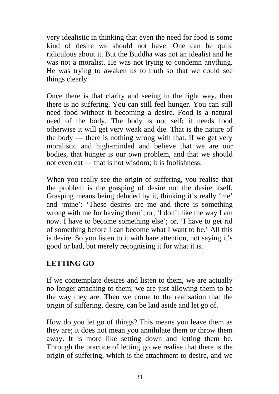<span id="page-30-0"></span>very idealistic in thinking that even the need for food is some kind of desire we should not have. One can be quite ridiculous about it. But the Buddha was not an idealist and he was not a moralist. He was not trying to condemn anything. He was trying to awaken us to truth so that we could see things clearly.

Once there is that clarity and seeing in the right way, then there is no suffering. You can still feel hunger. You can still need food without it becoming a desire. Food is a natural need of the body. The body is not self; it needs food otherwise it will get very weak and die. That is the nature of the body — there is nothing wrong with that. If we get very moralistic and high-minded and believe that we are our bodies, that hunger is our own problem, and that we should not even eat — that is not wisdom; it is foolishness.

When you really see the origin of suffering, you realise that the problem is the grasping of desire not the desire itself. Grasping means being deluded by it, thinking it's really 'me' and 'mine': 'These desires are me and there is something wrong with me for having them'; or, 'I don't like the way I am now. I have to become something else'; or, 'I have to get rid of something before I can become what I want to be.' All this is desire. So you listen to it with bare attention, not saying it's good or bad, but merely recognising it for what it is.

#### **LETTING GO**

If we contemplate desires and listen to them, we are actually no longer attaching to them; we are just allowing them to be the way they are. Then we come to the realisation that the origin of suffering, desire, can be laid aside and let go of.

How do you let go of things? This means you leave them as they are; it does not mean you annihilate them or throw them away. It is more like setting down and letting them be. Through the practice of letting go we realise that there is the origin of suffering, which is the attachment to desire, and we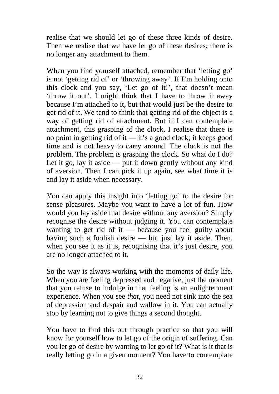realise that we should let go of these three kinds of desire. Then we realise that we have let go of these desires; there is no longer any attachment to them.

When you find yourself attached, remember that 'letting go' is not 'getting rid of' or 'throwing away'. If I'm holding onto this clock and you say, 'Let go of it!', that doesn't mean 'throw it out'. I might think that I have to throw it away because I'm attached to it, but that would just be the desire to get rid of it. We tend to think that getting rid of the object is a way of getting rid of attachment. But if I can contemplate attachment, this grasping of the clock, I realise that there is no point in getting rid of it — it's a good clock; it keeps good time and is not heavy to carry around. The clock is not the problem. The problem is grasping the clock. So what do I do? Let it go, lay it aside  $-$  put it down gently without any kind of aversion. Then I can pick it up again, see what time it is and lay it aside when necessary.

You can apply this insight into 'letting go' to the desire for sense pleasures. Maybe you want to have a lot of fun. How would you lay aside that desire without any aversion? Simply recognise the desire without judging it. You can contemplate wanting to get rid of it — because you feel guilty about having such a foolish desire — but just lay it aside. Then, when you see it as it is, recognising that it's just desire, you are no longer attached to it.

So the way is always working with the moments of daily life. When you are feeling depressed and negative, just the moment that you refuse to indulge in that feeling is an enlightenment experience. When you see *that*, you need not sink into the sea of depression and despair and wallow in it. You can actually stop by learning not to give things a second thought.

You have to find this out through practice so that you will know for yourself how to let go of the origin of suffering. Can you let go of desire by wanting to let go of it? What is it that is really letting go in a given moment? You have to contemplate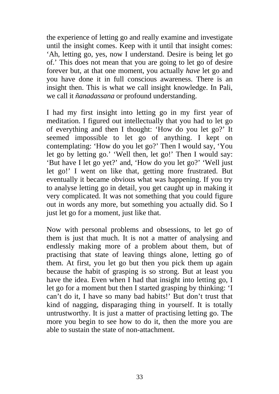the experience of letting go and really examine and investigate until the insight comes. Keep with it until that insight comes: 'Ah, letting go, yes, now I understand. Desire is being let go of.' This does not mean that you are going to let go of desire forever but, at that one moment, you actually *have* let go and you have done it in full conscious awareness. There is an insight then. This is what we call insight knowledge. In Pali, we call it *ñanadassana* or profound understanding.

I had my first insight into letting go in my first year of meditation. I figured out intellectually that you had to let go of everything and then I thought: 'How do you let go?' It seemed impossible to let go of anything. I kept on contemplating: 'How do you let go?' Then I would say, 'You let go by letting go.' 'Well then, let go!' Then I would say: 'But have I let go yet?' and, 'How do you let go?' 'Well just let go!' I went on like that, getting more frustrated. But eventually it became obvious what was happening. If you try to analyse letting go in detail, you get caught up in making it very complicated. It was not something that you could figure out in words any more, but something you actually did. So I just let go for a moment, just like that.

Now with personal problems and obsessions, to let go of them is just that much. It is not a matter of analysing and endlessly making more of a problem about them, but of practising that state of leaving things alone, letting go of them. At first, you let go but then you pick them up again because the habit of grasping is so strong. But at least you have the idea. Even when I had that insight into letting go, I let go for a moment but then I started grasping by thinking: 'I can't do it, I have so many bad habits!' But don't trust that kind of nagging, disparaging thing in yourself. It is totally untrustworthy. It is just a matter of practising letting go. The more you begin to see how to do it, then the more you are able to sustain the state of non-attachment.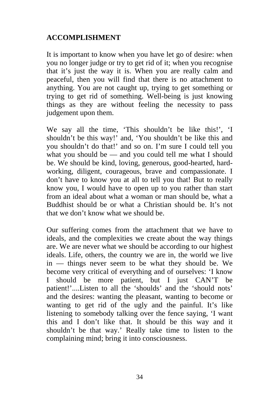### <span id="page-33-0"></span>**ACCOMPLISHMENT**

It is important to know when you have let go of desire: when you no longer judge or try to get rid of it; when you recognise that it's just the way it is. When you are really calm and peaceful, then you will find that there is no attachment to anything. You are not caught up, trying to get something or trying to get rid of something. Well-being is just knowing things as they are without feeling the necessity to pass judgement upon them.

We say all the time, 'This shouldn't be like this!', 'I shouldn't be this way!' and, 'You shouldn't be like this and you shouldn't do that!' and so on. I'm sure I could tell you what you should be — and you could tell me what I should be. We should be kind, loving, generous, good-hearted, hardworking, diligent, courageous, brave and compassionate. I don't have to know you at all to tell you that! But to really know you, I would have to open up to you rather than start from an ideal about what a woman or man should be, what a Buddhist should be or what a Christian should be. It's not that we don't know what we should be.

Our suffering comes from the attachment that we have to ideals, and the complexities we create about the way things are. We are never what we should be according to our highest ideals. Life, others, the country we are in, the world we live in — things never seem to be what they should be. We become very critical of everything and of ourselves: 'I know I should be more patient, but I just CAN'T be patient!'....Listen to all the 'shoulds' and the 'should nots' and the desires: wanting the pleasant, wanting to become or wanting to get rid of the ugly and the painful. It's like listening to somebody talking over the fence saying, 'I want this and I don't like that. It should be this way and it shouldn't be that way.' Really take time to listen to the complaining mind; bring it into consciousness.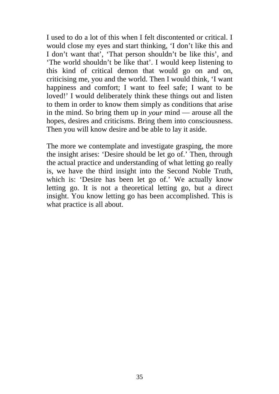I used to do a lot of this when I felt discontented or critical. I would close my eyes and start thinking, 'I don't like this and I don't want that', 'That person shouldn't be like this', and 'The world shouldn't be like that'. I would keep listening to this kind of critical demon that would go on and on, criticising me, you and the world. Then I would think, 'I want happiness and comfort; I want to feel safe; I want to be loved!' I would deliberately think these things out and listen to them in order to know them simply as conditions that arise in the mind. So bring them up in *your* mind — arouse all the hopes, desires and criticisms. Bring them into consciousness. Then you will know desire and be able to lay it aside.

The more we contemplate and investigate grasping, the more the insight arises: 'Desire should be let go of.' Then, through the actual practice and understanding of what letting go really is, we have the third insight into the Second Noble Truth, which is: 'Desire has been let go of.' We actually know letting go. It is not a theoretical letting go, but a direct insight. You know letting go has been accomplished. This is what practice is all about.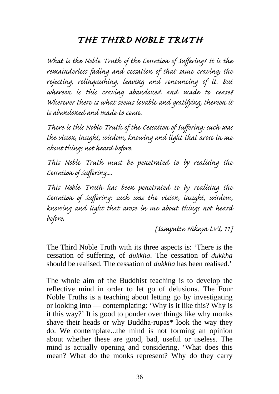### *THE THIRD NOBLE TRUTH*

<span id="page-35-0"></span>*What is the Noble Truth of the Cessation of Suffering? It is the remainderless fading and cessation of that same craving; the rejecting, relinquishing, leaving and renouncing of it. But whereon is this craving abandoned and made to cease? Wherever there is what seems lovable and gratifying, thereon it is abandoned and made to cease.*

*There is this Noble Truth of the Cessation of Suffering: such was the vision, insight, wisdom, knowing and light that arose in me about things not heard before.*

*This Noble Truth must be penetrated to by realising the Cessation of Suffering....*

*This Noble Truth has been penetrated to by realising the Cessation of Suffering: such was the vision, insight, wisdom, knowing and light that arose in me about things not heard before.*

*[Samyutta Nikaya LVI, 11]*

The Third Noble Truth with its three aspects is: 'There is the cessation of suffering, of *dukkha*. The cessation of *dukkha* should be realised. The cessation of *dukkha* has been realised.'

The whole aim of the Buddhist teaching is to develop the reflective mind in order to let go of delusions. The Four Noble Truths is a teaching about letting go by investigating or looking into — contemplating: 'Why is it like this? Why is it this way?' It is good to ponder over things like why monks shave their heads or why Buddha-rupas\* look the way they do. We contemplate...the mind is not forming an opinion about whether these are good, bad, useful or useless. The mind is actually opening and considering. 'What does this mean? What do the monks represent? Why do they carry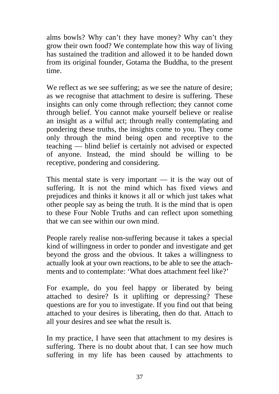alms bowls? Why can't they have money? Why can't they grow their own food? We contemplate how this way of living has sustained the tradition and allowed it to be handed down from its original founder, Gotama the Buddha, to the present time.

We reflect as we see suffering; as we see the nature of desire; as we recognise that attachment to desire is suffering. These insights can only come through reflection; they cannot come through belief. You cannot make yourself believe or realise an insight as a wilful act; through really contemplating and pondering these truths, the insights come to you. They come only through the mind being open and receptive to the teaching — blind belief is certainly not advised or expected of anyone. Instead, the mind should be willing to be receptive, pondering and considering.

This mental state is very important  $-$  it is the way out of suffering. It is not the mind which has fixed views and prejudices and thinks it knows it all or which just takes what other people say as being the truth. It is the mind that is open to these Four Noble Truths and can reflect upon something that we can see within our own mind.

People rarely realise non-suffering because it takes a special kind of willingness in order to ponder and investigate and get beyond the gross and the obvious. It takes a willingness to actually look at your own reactions, to be able to see the attachments and to contemplate: 'What does attachment feel like?'

For example, do you feel happy or liberated by being attached to desire? Is it uplifting or depressing? These questions are for you to investigate. If you find out that being attached to your desires is liberating, then do that. Attach to all your desires and see what the result is.

In my practice, I have seen that attachment to my desires is suffering. There is no doubt about that. I can see how much suffering in my life has been caused by attachments to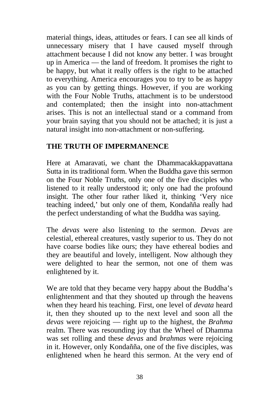<span id="page-37-0"></span>material things, ideas, attitudes or fears. I can see all kinds of unnecessary misery that I have caused myself through attachment because I did not know any better. I was brought up in America — the land of freedom. It promises the right to be happy, but what it really offers is the right to be attached to everything. America encourages you to try to be as happy as you can by getting things. However, if you are working with the Four Noble Truths, attachment is to be understood and contemplated; then the insight into non-attachment arises. This is not an intellectual stand or a command from your brain saying that you should not be attached; it is just a natural insight into non-attachment or non-suffering.

### **THE TRUTH OF IMPERMANENCE**

Here at Amaravati, we chant the Dhammacakkappavattana Sutta in its traditional form. When the Buddha gave this sermon on the Four Noble Truths, only one of the five disciples who listened to it really understood it; only one had the profound insight. The other four rather liked it, thinking 'Very nice teaching indeed,' but only one of them, Kondañña really had the perfect understanding of what the Buddha was saying.

The *devas* were also listening to the sermon. *Devas* are celestial, ethereal creatures, vastly superior to us. They do not have coarse bodies like ours; they have ethereal bodies and they are beautiful and lovely, intelligent. Now although they were delighted to hear the sermon, not one of them was enlightened by it.

We are told that they became very happy about the Buddha's enlightenment and that they shouted up through the heavens when they heard his teaching. First, one level of *devata* heard it, then they shouted up to the next level and soon all the *devas* were rejoicing — right up to the highest, the *Brahma* realm. There was resounding joy that the Wheel of Dhamma was set rolling and these *devas* and *brahmas* were rejoicing in it. However, only Kondañña, one of the five disciples, was enlightened when he heard this sermon. At the very end of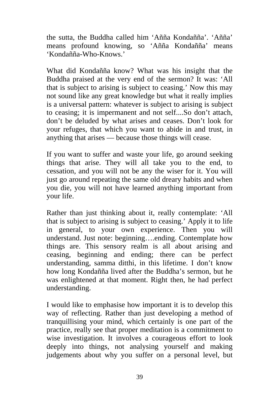the sutta, the Buddha called him 'Añña Kondañña'. 'Añña' means profound knowing, so 'Añña Kondañña' means 'Kondañña-Who-Knows.'

What did Kondañña know? What was his insight that the Buddha praised at the very end of the sermon? It was: 'All that is subject to arising is subject to ceasing.' Now this may not sound like any great knowledge but what it really implies is a universal pattern: whatever is subject to arising is subject to ceasing; it is impermanent and not self....So don't attach, don't be deluded by what arises and ceases. Don't look for your refuges, that which you want to abide in and trust, in anything that arises — because those things will cease.

If you want to suffer and waste your life, go around seeking things that arise. They will all take you to the end, to cessation, and you will not be any the wiser for it. You will just go around repeating the same old dreary habits and when you die, you will not have learned anything important from your life.

Rather than just thinking about it, really contemplate: 'All that is subject to arising is subject to ceasing.' Apply it to life in general, to your own experience. Then you will understand. Just note: beginning….ending. Contemplate how things are. This sensory realm is all about arising and ceasing, beginning and ending; there can be perfect understanding, samma ditthi, in this lifetime. I don't know how long Kondañña lived after the Buddha's sermon, but he was enlightened at that moment. Right then, he had perfect understanding.

I would like to emphasise how important it is to develop this way of reflecting. Rather than just developing a method of tranquillising your mind, which certainly is one part of the practice, really see that proper meditation is a commitment to wise investigation. It involves a courageous effort to look deeply into things, not analysing yourself and making judgements about why you suffer on a personal level, but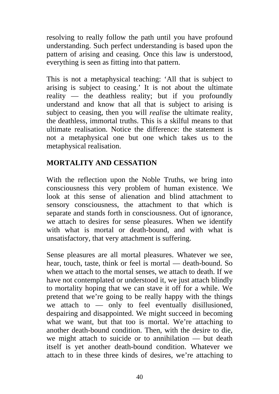<span id="page-39-0"></span>resolving to really follow the path until you have profound understanding. Such perfect understanding is based upon the pattern of arising and ceasing. Once this law is understood, everything is seen as fitting into that pattern.

This is not a metaphysical teaching: 'All that is subject to arising is subject to ceasing.' It is not about the ultimate reality — the deathless reality; but if you profoundly understand and know that all that is subject to arising is subject to ceasing, then you will *realise* the ultimate reality, the deathless, immortal truths. This is a skilful means to that ultimate realisation. Notice the difference: the statement is not a metaphysical one but one which takes us to the metaphysical realisation.

### **MORTALITY AND CESSATION**

With the reflection upon the Noble Truths, we bring into consciousness this very problem of human existence. We look at this sense of alienation and blind attachment to sensory consciousness, the attachment to that which is separate and stands forth in consciousness. Out of ignorance, we attach to desires for sense pleasures. When we identify with what is mortal or death-bound, and with what is unsatisfactory, that very attachment is suffering.

Sense pleasures are all mortal pleasures. Whatever we see, hear, touch, taste, think or feel is mortal — death-bound. So when we attach to the mortal senses, we attach to death. If we have not contemplated or understood it, we just attach blindly to mortality hoping that we can stave it off for a while. We pretend that we're going to be really happy with the things we attach to — only to feel eventually disillusioned, despairing and disappointed. We might succeed in becoming what we want, but that too is mortal. We're attaching to another death-bound condition. Then, with the desire to die, we might attach to suicide or to annihilation — but death itself is yet another death-bound condition. Whatever we attach to in these three kinds of desires, we're attaching to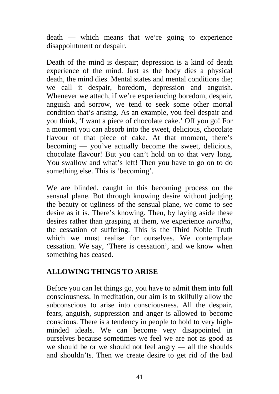<span id="page-40-0"></span>death — which means that we're going to experience disappointment or despair.

Death of the mind is despair; depression is a kind of death experience of the mind. Just as the body dies a physical death, the mind dies. Mental states and mental conditions die; we call it despair, boredom, depression and anguish. Whenever we attach, if we're experiencing boredom, despair, anguish and sorrow, we tend to seek some other mortal condition that's arising. As an example, you feel despair and you think, 'I want a piece of chocolate cake.' Off you go! For a moment you can absorb into the sweet, delicious, chocolate flavour of that piece of cake. At that moment, there's becoming — you've actually become the sweet, delicious, chocolate flavour! But you can't hold on to that very long. You swallow and what's left! Then you have to go on to do something else. This is 'becoming'.

We are blinded, caught in this becoming process on the sensual plane. But through knowing desire without judging the beauty or ugliness of the sensual plane, we come to see desire as it is. There's knowing. Then, by laying aside these desires rather than grasping at them, we experience *nirodha*, the cessation of suffering. This is the Third Noble Truth which we must realise for ourselves. We contemplate cessation. We say, 'There is cessation', and we know when something has ceased.

### **ALLOWING THINGS TO ARISE**

Before you can let things go, you have to admit them into full consciousness. In meditation, our aim is to skilfully allow the subconscious to arise into consciousness. All the despair, fears, anguish, suppression and anger is allowed to become conscious. There is a tendency in people to hold to very highminded ideals. We can become very disappointed in ourselves because sometimes we feel we are not as good as we should be or we should not feel angry — all the shoulds and shouldn'ts. Then we create desire to get rid of the bad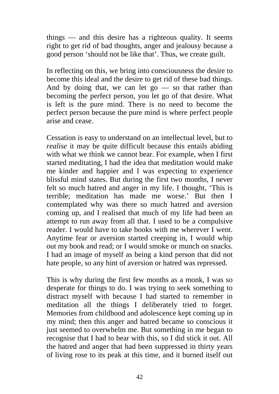things — and this desire has a righteous quality. It seems right to get rid of bad thoughts, anger and jealousy because a good person 'should not be like that'. Thus, we create guilt.

In reflecting on this, we bring into consciousness the desire to become this ideal and the desire to get rid of these bad things. And by doing that, we can let  $\alpha$  — so that rather than becoming the perfect person, you let go of that desire. What is left is the pure mind. There is no need to become the perfect person because the pure mind is where perfect people arise and cease.

Cessation is easy to understand on an intellectual level, but to *realise* it may be quite difficult because this entails abiding with what we think we cannot bear. For example, when I first started meditating, I had the idea that meditation would make me kinder and happier and I was expecting to experience blissful mind states. But during the first two months, I never felt so much hatred and anger in my life. I thought, 'This is terrible; meditation has made me worse.' But then I contemplated why was there so much hatred and aversion coming up, and I realised that much of my life had been an attempt to run away from all that. I used to be a compulsive reader. I would have to take books with me wherever I went. Anytime fear or aversion started creeping in, I would whip out my book and read; or I would smoke or munch on snacks. I had an image of myself as being a kind person that did not hate people, so any hint of aversion or hatred was repressed.

This is why during the first few months as a monk, I was so desperate for things to do. I was trying to seek something to distract myself with because I had started to remember in meditation all the things I deliberately tried to forget. Memories from childhood and adolescence kept coming up in my mind; then this anger and hatred became so conscious it just seemed to overwhelm me. But something in me began to recognise that I had to bear with this, so I did stick it out. All the hatred and anger that had been suppressed in thirty years of living rose to its peak at this time, and it burned itself out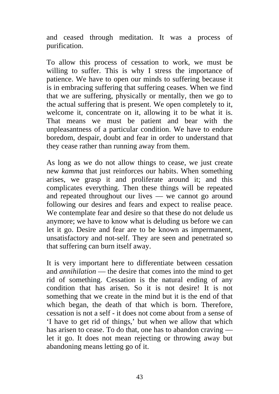and ceased through meditation. It was a process of purification.

To allow this process of cessation to work, we must be willing to suffer. This is why I stress the importance of patience. We have to open our minds to suffering because it is in embracing suffering that suffering ceases. When we find that we are suffering, physically or mentally, then we go to the actual suffering that is present. We open completely to it, welcome it, concentrate on it, allowing it to be what it is. That means we must be patient and bear with the unpleasantness of a particular condition. We have to endure boredom, despair, doubt and fear in order to understand that they cease rather than running away from them.

As long as we do not allow things to cease, we just create new *kamma* that just reinforces our habits. When something arises, we grasp it and proliferate around it; and this complicates everything. Then these things will be repeated and repeated throughout our lives — we cannot go around following our desires and fears and expect to realise peace. We contemplate fear and desire so that these do not delude us anymore; we have to know what is deluding us before we can let it go. Desire and fear are to be known as impermanent, unsatisfactory and not-self. They are seen and penetrated so that suffering can burn itself away.

It is very important here to differentiate between cessation and *annihilation* — the desire that comes into the mind to get rid of something. Cessation is the natural ending of any condition that has arisen. So it is not desire! It is not something that we create in the mind but it is the end of that which began, the death of that which is born. Therefore, cessation is not a self - it does not come about from a sense of 'I have to get rid of things,' but when we allow that which has arisen to cease. To do that, one has to abandon craving let it go. It does not mean rejecting or throwing away but abandoning means letting go of it.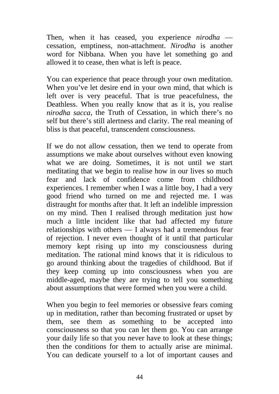Then, when it has ceased, you experience *nirodha* cessation, emptiness, non-attachment. *Nirodha* is another word for Nibbana. When you have let something go and allowed it to cease, then what is left is peace.

You can experience that peace through your own meditation. When you've let desire end in your own mind, that which is left over is very peaceful. That is true peacefulness, the Deathless. When you really know that as it is, you realise *nirodha sacca*, the Truth of Cessation, in which there's no self but there's still alertness and clarity. The real meaning of bliss is that peaceful, transcendent consciousness.

If we do not allow cessation, then we tend to operate from assumptions we make about ourselves without even knowing what we are doing. Sometimes, it is not until we start meditating that we begin to realise how in our lives so much fear and lack of confidence come from childhood experiences. I remember when I was a little boy, I had a very good friend who turned on me and rejected me. I was distraught for months after that. It left an indelible impression on my mind. Then I realised through meditation just how much a little incident like that had affected my future relationships with others — I always had a tremendous fear of rejection. I never even thought of it until that particular memory kept rising up into my consciousness during meditation. The rational mind knows that it is ridiculous to go around thinking about the tragedies of childhood. But if they keep coming up into consciousness when you are middle-aged, maybe they are trying to tell you something about assumptions that were formed when you were a child.

When you begin to feel memories or obsessive fears coming up in meditation, rather than becoming frustrated or upset by them, see them as something to be accepted into consciousness so that you can let them go. You can arrange your daily life so that you never have to look at these things; then the conditions for them to actually arise are minimal. You can dedicate yourself to a lot of important causes and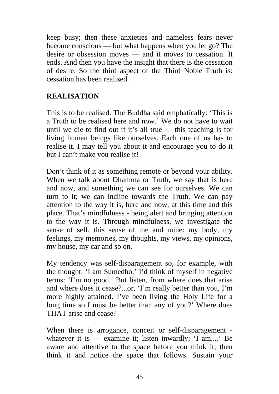<span id="page-44-0"></span>keep busy; then these anxieties and nameless fears never become conscious — but what happens when you let go? The desire or obsession moves — and it moves to cessation. It ends. And then you have the insight that there is the cessation of desire. So the third aspect of the Third Noble Truth is: cessation has been realised.

### **REALISATION**

This is to be realised. The Buddha said emphatically: 'This is a Truth to be realised here and now.' We do not have to wait until we die to find out if it's all true — this teaching is for living human beings like ourselves. Each one of us has to realise it. I may tell you about it and encourage you to do it but I can't make you realise it!

Don't think of it as something remote or beyond your ability. When we talk about Dhamma or Truth, we say that is here and now, and something we can see for ourselves. We can turn to it; we can incline towards the Truth. We can pay attention to the way it is, here and now, at this time and this place. That's mindfulness - being alert and bringing attention to the way it is. Through mindfulness, we investigate the sense of self, this sense of me and mine: my body, my feelings, my memories, my thoughts, my views, my opinions, my house, my car and so on.

My tendency was self-disparagement so, for example, with the thought: 'I am Sumedho,' I'd think of myself in negative terms: 'I'm no good.' But listen, from where does that arise and where does it cease?...or, 'I'm really better than you, I'm more highly attained. I've been living the Holy Life for a long time so I must be better than any of you?' Where does THAT arise and cease?

When there is arrogance, conceit or self-disparagement whatever it is — examine it; listen inwardly;  $T$  am....' Be aware and attentive to the space before you think it; then think it and notice the space that follows. Sustain your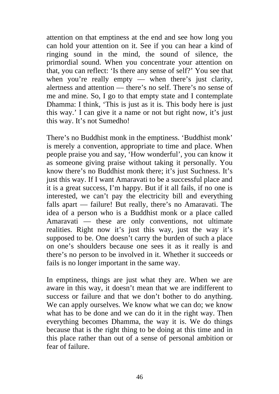attention on that emptiness at the end and see how long you can hold your attention on it. See if you can hear a kind of ringing sound in the mind, the sound of silence, the primordial sound. When you concentrate your attention on that, you can reflect: 'Is there any sense of self?' You see that when you're really empty — when there's just clarity, alertness and attention — there's no self. There's no sense of me and mine. So, I go to that empty state and I contemplate Dhamma: I think, 'This is just as it is. This body here is just this way.' I can give it a name or not but right now, it's just this way. It's not Sumedho!

There's no Buddhist monk in the emptiness. 'Buddhist monk' is merely a convention, appropriate to time and place. When people praise you and say, 'How wonderful', you can know it as someone giving praise without taking it personally. You know there's no Buddhist monk there; it's just Suchness. It's just this way. If I want Amaravati to be a successful place and it is a great success, I'm happy. But if it all fails, if no one is interested, we can't pay the electricity bill and everything falls apart — failure! But really, there's no Amaravati. The idea of a person who is a Buddhist monk or a place called Amaravati — these are only conventions, not ultimate realities. Right now it's just this way, just the way it's supposed to be. One doesn't carry the burden of such a place on one's shoulders because one sees it as it really is and there's no person to be involved in it. Whether it succeeds or fails is no longer important in the same way.

In emptiness, things are just what they are. When we are aware in this way, it doesn't mean that we are indifferent to success or failure and that we don't bother to do anything. We can apply ourselves. We know what we can do; we know what has to be done and we can do it in the right way. Then everything becomes Dhamma, the way it is. We do things because that is the right thing to be doing at this time and in this place rather than out of a sense of personal ambition or fear of failure.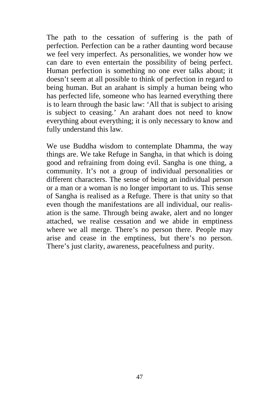The path to the cessation of suffering is the path of perfection. Perfection can be a rather daunting word because we feel very imperfect. As personalities, we wonder how we can dare to even entertain the possibility of being perfect. Human perfection is something no one ever talks about; it doesn't seem at all possible to think of perfection in regard to being human. But an arahant is simply a human being who has perfected life, someone who has learned everything there is to learn through the basic law: 'All that is subject to arising is subject to ceasing.' An arahant does not need to know everything about everything; it is only necessary to know and fully understand this law.

We use Buddha wisdom to contemplate Dhamma, the way things are. We take Refuge in Sangha, in that which is doing good and refraining from doing evil. Sangha is one thing, a community. It's not a group of individual personalities or different characters. The sense of being an individual person or a man or a woman is no longer important to us. This sense of Sangha is realised as a Refuge. There is that unity so that even though the manifestations are all individual, our realisation is the same. Through being awake, alert and no longer attached, we realise cessation and we abide in emptiness where we all merge. There's no person there. People may arise and cease in the emptiness, but there's no person. There's just clarity, awareness, peacefulness and purity.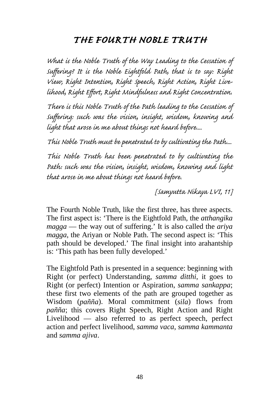### *THE FOURTH NOBLE TRUTH*

<span id="page-47-0"></span>*What is the Noble Truth of the Way Leading to the Cessation of Suffering? It is the Noble Eightfold Path, that is to say: Right View, Right Intention, Right Speech, Right Action, Right Livelihood, Right Effort, Right Mindfulness and Right Concentration.*

*There is this Noble Truth of the Path leading to the Cessation of Suffering: such was the vision, insight, wisdom, knowing and light that arose in me about things not heard before....*

*This Noble Truth must be penetrated to by cultivating the Path....*

*This Noble Truth has been penetrated to by cultivating the Path: such was the vision, insight, wisdom, knowing and light that arose in me about things not heard before.*

*[Samyutta Nikaya LVI, 11]*

The Fourth Noble Truth, like the first three, has three aspects. The first aspect is: 'There is the Eightfold Path, the *atthangika magga* — the way out of suffering.' It is also called the *ariya magga*, the Ariyan or Noble Path. The second aspect is: 'This path should be developed.' The final insight into arahantship is: 'This path has been fully developed.'

The Eightfold Path is presented in a sequence: beginning with Right (or perfect) Understanding, *samma ditthi*, it goes to Right (or perfect) Intention or Aspiration, *samma sankappa*; these first two elements of the path are grouped together as Wisdom (*pañña*). Moral commitment (*sila*) flows from *pañña*; this covers Right Speech, Right Action and Right Livelihood — also referred to as perfect speech, perfect action and perfect livelihood, *samma vaca*, *samma kammanta* and *samma ajiva*.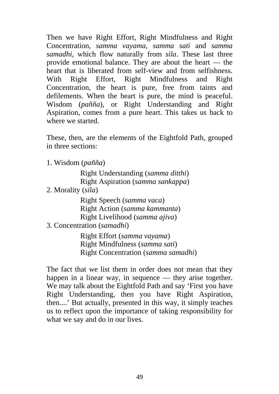Then we have Right Effort, Right Mindfulness and Right Concentration, *samma vayama*, *samma sati* and *samma samadhi*, which flow naturally from *sila*. These last three provide emotional balance. They are about the heart — the heart that is liberated from self-view and from selfishness. With Right Effort, Right Mindfulness and Right Concentration, the heart is pure, free from taints and defilements. When the heart is pure, the mind is peaceful. Wisdom (*pañña*), or Right Understanding and Right Aspiration, comes from a pure heart. This takes us back to where we started.

These, then, are the elements of the Eightfold Path, grouped in three sections:

1. Wisdom (*pañña*)

Right Understanding (*samma ditthi*) Right Aspiration (*samma sankappa*)

2. Morality (*sila*)

Right Speech (*samma vaca*) Right Action (*samma kammanta*) Right Livelihood (*samma ajiva*)

#### 3. Concentration (*samadhi*)

Right Effort (*samma vayama*) Right Mindfulness (*samma sati*) Right Concentration (*samma samadhi*)

The fact that we list them in order does not mean that they happen in a linear way, in sequence — they arise together. We may talk about the Eightfold Path and say 'First you have Right Understanding, then you have Right Aspiration, then....' But actually, presented in this way, it simply teaches us to reflect upon the importance of taking responsibility for what we say and do in our lives.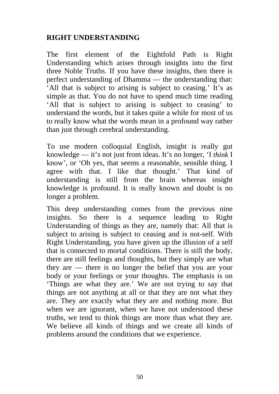### <span id="page-49-0"></span>**RIGHT UNDERSTANDING**

The first element of the Eightfold Path is Right Understanding which arises through insights into the first three Noble Truths. If you have these insights, then there is perfect understanding of Dhamma — the understanding that: 'All that is subject to arising is subject to ceasing.' It's as simple as that. You do not have to spend much time reading 'All that is subject to arising is subject to ceasing' to understand the words, but it takes quite a while for most of us to really know what the words mean in a profound way rather than just through cerebral understanding.

To use modern colloquial English, insight is really gut knowledge — it's not just from ideas. It's no longer, 'I *think* I know', or 'Oh yes, that seems a reasonable, sensible thing. I agree with that. I like that thought.' That kind of understanding is still from the brain whereas insight knowledge is profound. It is really known and doubt is no longer a problem.

This deep understanding comes from the previous nine insights. So there is a sequence leading to Right Understanding of things as they are, namely that: All that is subject to arising is subject to ceasing and is not-self. With Right Understanding, you have given up the illusion of a self that is connected to mortal conditions. There is still the body, there are still feelings and thoughts, but they simply are what they are — there is no longer the belief that you are your body or your feelings or your thoughts. The emphasis is on 'Things are what they are.' We are not trying to say that things are not anything at all or that they are not what they are. They are exactly what they are and nothing more. But when we are ignorant, when we have not understood these truths, we tend to think things are more than what they are. We believe all kinds of things and we create all kinds of problems around the conditions that we experience.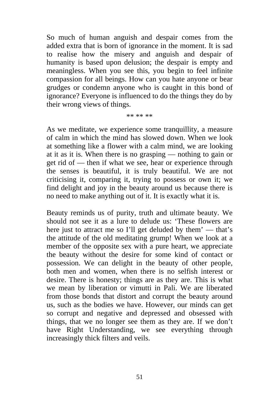So much of human anguish and despair comes from the added extra that is born of ignorance in the moment. It is sad to realise how the misery and anguish and despair of humanity is based upon delusion; the despair is empty and meaningless. When you see this, you begin to feel infinite compassion for all beings. How can you hate anyone or bear grudges or condemn anyone who is caught in this bond of ignorance? Everyone is influenced to do the things they do by their wrong views of things.

\*\* \*\* \*\*

As we meditate, we experience some tranquillity, a measure of calm in which the mind has slowed down. When we look at something like a flower with a calm mind, we are looking at it as it is. When there is no grasping — nothing to gain or get rid of — then if what we see, hear or experience through the senses is beautiful, it is truly beautiful. We are not criticising it, comparing it, trying to possess or own it; we find delight and joy in the beauty around us because there is no need to make anything out of it. It is exactly what it is.

Beauty reminds us of purity, truth and ultimate beauty. We should not see it as a lure to delude us: 'These flowers are here just to attract me so I'll get deluded by them' — that's the attitude of the old meditating grump! When we look at a member of the opposite sex with a pure heart, we appreciate the beauty without the desire for some kind of contact or possession. We can delight in the beauty of other people, both men and women, when there is no selfish interest or desire. There is honesty; things are as they are. This is what we mean by liberation or vimutti in Pali. We are liberated from those bonds that distort and corrupt the beauty around us, such as the bodies we have. However, our minds can get so corrupt and negative and depressed and obsessed with things, that we no longer see them as they are. If we don't have Right Understanding, we see everything through increasingly thick filters and veils.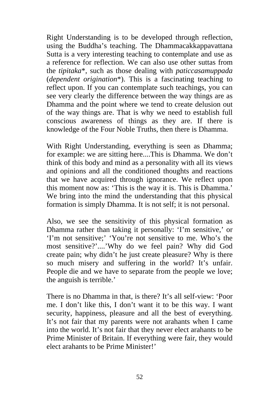Right Understanding is to be developed through reflection, using the Buddha's teaching. The Dhammacakkappavattana Sutta is a very interesting teaching to contemplate and use as a reference for reflection. We can also use other suttas from the *tipitaka*\*, such as those dealing with *paticcasamuppada* (*dependent origination*\*). This is a fascinating teaching to reflect upon. If you can contemplate such teachings, you can see very clearly the difference between the way things are as Dhamma and the point where we tend to create delusion out of the way things are. That is why we need to establish full conscious awareness of things as they are. If there is knowledge of the Four Noble Truths, then there is Dhamma.

With Right Understanding, everything is seen as Dhamma; for example: we are sitting here....This is Dhamma. We don't think of this body and mind as a personality with all its views and opinions and all the conditioned thoughts and reactions that we have acquired through ignorance. We reflect upon this moment now as: 'This is the way it is. This is Dhamma.' We bring into the mind the understanding that this physical formation is simply Dhamma. It is not self; it is not personal.

Also, we see the sensitivity of this physical formation as Dhamma rather than taking it personally: 'I'm sensitive,' or 'I'm not sensitive;' 'You're not sensitive to me. Who's the most sensitive?'....'Why do we feel pain? Why did God create pain; why didn't he just create pleasure? Why is there so much misery and suffering in the world? It's unfair. People die and we have to separate from the people we love; the anguish is terrible.'

There is no Dhamma in that, is there? It's all self-view: 'Poor me. I don't like this, I don't want it to be this way. I want security, happiness, pleasure and all the best of everything. It's not fair that my parents were not arahants when I came into the world. It's not fair that they never elect arahants to be Prime Minister of Britain. If everything were fair, they would elect arahants to be Prime Minister!'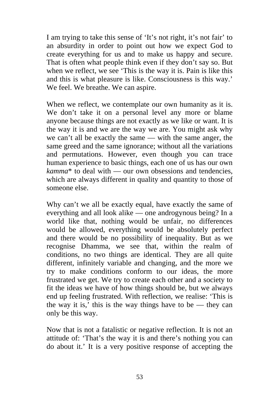I am trying to take this sense of 'It's not right, it's not fair' to an absurdity in order to point out how we expect God to create everything for us and to make us happy and secure. That is often what people think even if they don't say so. But when we reflect, we see 'This is the way it is. Pain is like this and this is what pleasure is like. Consciousness is this way.' We feel. We breathe. We can aspire.

When we reflect, we contemplate our own humanity as it is. We don't take it on a personal level any more or blame anyone because things are not exactly as we like or want. It is the way it is and we are the way we are. You might ask why we can't all be exactly the same — with the same anger, the same greed and the same ignorance; without all the variations and permutations. However, even though you can trace human experience to basic things, each one of us has our own *kamma*\* to deal with — our own obsessions and tendencies, which are always different in quality and quantity to those of someone else.

Why can't we all be exactly equal, have exactly the same of everything and all look alike — one androgynous being? In a world like that, nothing would be unfair, no differences would be allowed, everything would be absolutely perfect and there would be no possibility of inequality. But as we recognise Dhamma, we see that, within the realm of conditions, no two things are identical. They are all quite different, infinitely variable and changing, and the more we try to make conditions conform to our ideas, the more frustrated we get. We try to create each other and a society to fit the ideas we have of how things should be, but we always end up feeling frustrated. With reflection, we realise: 'This is the way it is,' this is the way things have to be — they can only be this way.

Now that is not a fatalistic or negative reflection. It is not an attitude of: 'That's the way it is and there's nothing you can do about it.' It is a very positive response of accepting the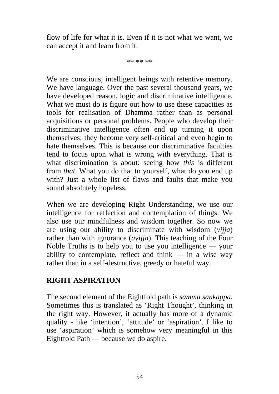<span id="page-53-0"></span>flow of life for what it is. Even if it is not what we want, we can accept it and learn from it.

\*\* \*\* \*\*

We are conscious, intelligent beings with retentive memory. We have language. Over the past several thousand years, we have developed reason, logic and discriminative intelligence. What we must do is figure out how to use these capacities as tools for realisation of Dhamma rather than as personal acquisitions or personal problems. People who develop their discriminative intelligence often end up turning it upon themselves; they become very self-critical and even begin to hate themselves. This is because our discriminative faculties tend to focus upon what is wrong with everything. That is what discrimination is about: seeing how *this* is different from *that*. What you do that to yourself, what do you end up with? Just a whole list of flaws and faults that make you sound absolutely hopeless.

When we are developing Right Understanding, we use our intelligence for reflection and contemplation of things. We also use our mindfulness and wisdom together. So now we are using our ability to discriminate with wisdom (*vijja*) rather than with ignorance (*avijja*). This teaching of the Four Noble Truths is to help you to use you intelligence — your ability to contemplate, reflect and think  $-$  in a wise way rather than in a self-destructive, greedy or hateful way.

#### **RIGHT ASPIRATION**

The second element of the Eightfold path is *samma sankappa*. Sometimes this is translated as 'Right Thought', thinking in the right way. However, it actually has more of a dynamic quality - like 'intention', 'attitude' or 'aspiration'. I like to use 'aspiration' which is somehow very meaningful in this Eightfold Path — because we do aspire.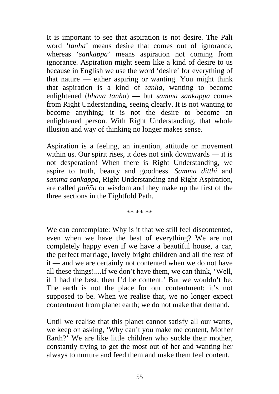It is important to see that aspiration is not desire. The Pali word '*tanha*' means desire that comes out of ignorance, whereas '*sankappa*' means aspiration not coming from ignorance. Aspiration might seem like a kind of desire to us because in English we use the word 'desire' for everything of that nature — either aspiring or wanting. You might think that aspiration is a kind of *tanha*, wanting to become enlightened (*bhava tanha*) — but *samma sankappa* comes from Right Understanding, seeing clearly. It is not wanting to become anything; it is not the desire to become an enlightened person. With Right Understanding, that whole illusion and way of thinking no longer makes sense.

Aspiration is a feeling, an intention, attitude or movement within us. Our spirit rises, it does not sink downwards — it is not desperation! When there is Right Understanding, we aspire to truth, beauty and goodness. *Samma ditthi* and *samma sankappa*, Right Understanding and Right Aspiration, are called *pañña* or wisdom and they make up the first of the three sections in the Eightfold Path.

\*\* \*\* \*\*

We can contemplate: Why is it that we still feel discontented, even when we have the best of everything? We are not completely happy even if we have a beautiful house, a car, the perfect marriage, lovely bright children and all the rest of it — and we are certainly not contented when we do not have all these things!....If we don't have them, we can think, 'Well, if I had the best, then I'd be content.' But we wouldn't be. The earth is not the place for our contentment; it's not supposed to be. When we realise that, we no longer expect contentment from planet earth; we do not make that demand.

Until we realise that this planet cannot satisfy all our wants, we keep on asking, 'Why can't you make me content, Mother Earth?' We are like little children who suckle their mother, constantly trying to get the most out of her and wanting her always to nurture and feed them and make them feel content.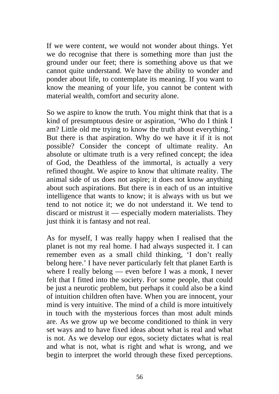If we were content, we would not wonder about things. Yet we do recognise that there is something more than just the ground under our feet; there is something above us that we cannot quite understand. We have the ability to wonder and ponder about life, to contemplate its meaning. If you want to know the meaning of your life, you cannot be content with material wealth, comfort and security alone.

So we aspire to know the truth. You might think that that is a kind of presumptuous desire or aspiration, 'Who do I think I am? Little old me trying to know the truth about everything.' But there is that aspiration. Why do we have it if it is not possible? Consider the concept of ultimate reality. An absolute or ultimate truth is a very refined concept; the idea of God, the Deathless of the immortal, is actually a very refined thought. We aspire to know that ultimate reality. The animal side of us does not aspire; it does not know anything about such aspirations. But there is in each of us an intuitive intelligence that wants to know; it is always with us but we tend to not notice it; we do not understand it. We tend to discard or mistrust it — especially modern materialists. They just think it is fantasy and not real.

As for myself, I was really happy when I realised that the planet is not my real home. I had always suspected it. I can remember even as a small child thinking, 'I don't really belong here.' I have never particularly felt that planet Earth is where I really belong — even before I was a monk, I never felt that I fitted into the society. For some people, that could be just a neurotic problem, but perhaps it could also be a kind of intuition children often have. When you are innocent, your mind is very intuitive. The mind of a child is more intuitively in touch with the mysterious forces than most adult minds are. As we grow up we become conditioned to think in very set ways and to have fixed ideas about what is real and what is not. As we develop our egos, society dictates what is real and what is not, what is right and what is wrong, and we begin to interpret the world through these fixed perceptions.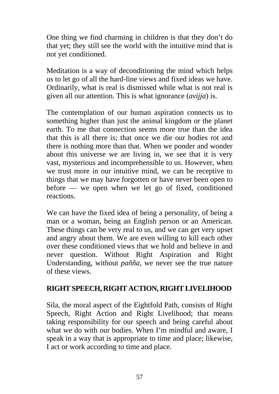<span id="page-56-0"></span>One thing we find charming in children is that they don't do that yet; they still see the world with the intuitive mind that is not yet conditioned.

Meditation is a way of deconditioning the mind which helps us to let go of all the hard-line views and fixed ideas we have. Ordinarily, what is real is dismissed while what is not real is given all our attention. This is what ignorance (*avijja*) is.

The contemplation of our human aspiration connects us to something higher than just the animal kingdom or the planet earth. To me that connection seems more true than the idea that this is all there is; that once we die our bodies rot and there is nothing more than that. When we ponder and wonder about this universe we are living in, we see that it is very vast, mysterious and incomprehensible to us. However, when we trust more in our intuitive mind, we can be receptive to things that we may have forgotten or have never been open to before — we open when we let go of fixed, conditioned reactions.

We can have the fixed idea of being a personality, of being a man or a woman, being an English person or an American. These things can be very real to us, and we can get very upset and angry about them. We are even willing to kill each other over these conditioned views that we hold and believe in and never question. Without Right Aspiration and Right Understanding, without *pañña*, we never see the true nature of these views.

### **RIGHT SPEECH, RIGHT ACTION, RIGHT LIVELIHOOD**

Sila, the moral aspect of the Eightfold Path, consists of Right Speech, Right Action and Right Livelihood; that means taking responsibility for our speech and being careful about what we do with our bodies. When I'm mindful and aware, I speak in a way that is appropriate to time and place; likewise, I act or work according to time and place.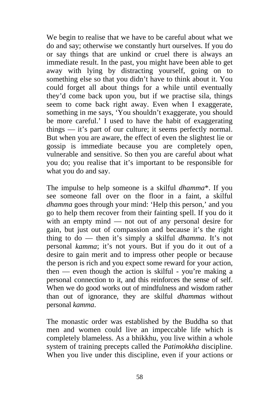We begin to realise that we have to be careful about what we do and say; otherwise we constantly hurt ourselves. If you do or say things that are unkind or cruel there is always an immediate result. In the past, you might have been able to get away with lying by distracting yourself, going on to something else so that you didn't have to think about it. You could forget all about things for a while until eventually they'd come back upon you, but if we practise sila, things seem to come back right away. Even when I exaggerate, something in me says, 'You shouldn't exaggerate, you should be more careful.' I used to have the habit of exaggerating things — it's part of our culture; it seems perfectly normal. But when you are aware, the effect of even the slightest lie or gossip is immediate because you are completely open, vulnerable and sensitive. So then you are careful about what you do; you realise that it's important to be responsible for what you do and say.

The impulse to help someone is a skilful *dhamma*\*. If you see someone fall over on the floor in a faint, a skilful *dhamma* goes through your mind: 'Help this person,' and you go to help them recover from their fainting spell. If you do it with an empty mind — not out of any personal desire for gain, but just out of compassion and because it's the right thing to do — then it's simply a skilful *dhamma*. It's not personal *kamma*; it's not yours. But if you do it out of a desire to gain merit and to impress other people or because the person is rich and you expect some reward for your action, then — even though the action is skilful - you're making a personal connection to it, and this reinforces the sense of self. When we do good works out of mindfulness and wisdom rather than out of ignorance, they are skilful *dhammas* without personal *kamma*.

The monastic order was established by the Buddha so that men and women could live an impeccable life which is completely blameless. As a bhikkhu, you live within a whole system of training precepts called the *Patimokkha* discipline. When you live under this discipline, even if your actions or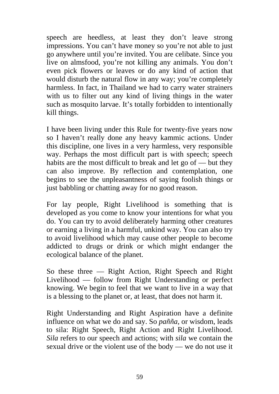speech are heedless, at least they don't leave strong impressions. You can't have money so you're not able to just go anywhere until you're invited. You are celibate. Since you live on almsfood, you're not killing any animals. You don't even pick flowers or leaves or do any kind of action that would disturb the natural flow in any way; you're completely harmless. In fact, in Thailand we had to carry water strainers with us to filter out any kind of living things in the water such as mosquito larvae. It's totally forbidden to intentionally kill things.

I have been living under this Rule for twenty-five years now so I haven't really done any heavy kammic actions. Under this discipline, one lives in a very harmless, very responsible way. Perhaps the most difficult part is with speech; speech habits are the most difficult to break and let go of — but they can also improve. By reflection and contemplation, one begins to see the unpleasantness of saying foolish things or just babbling or chatting away for no good reason.

For lay people, Right Livelihood is something that is developed as you come to know your intentions for what you do. You can try to avoid deliberately harming other creatures or earning a living in a harmful, unkind way. You can also try to avoid livelihood which may cause other people to become addicted to drugs or drink or which might endanger the ecological balance of the planet.

So these three — Right Action, Right Speech and Right Livelihood — follow from Right Understanding or perfect knowing. We begin to feel that we want to live in a way that is a blessing to the planet or, at least, that does not harm it.

Right Understanding and Right Aspiration have a definite influence on what we do and say. So *pañña*, or wisdom, leads to sila: Right Speech, Right Action and Right Livelihood. *Sila* refers to our speech and actions; with *sila* we contain the sexual drive or the violent use of the body — we do not use it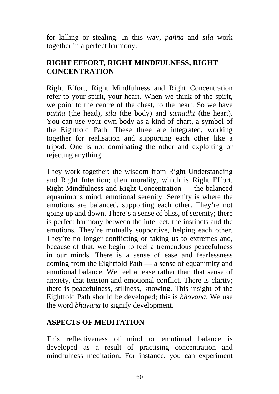<span id="page-59-0"></span>for killing or stealing. In this way, *pañña* and *sila* work together in a perfect harmony.

### **RIGHT EFFORT, RIGHT MINDFULNESS, RIGHT CONCENTRATION**

Right Effort, Right Mindfulness and Right Concentration refer to your spirit, your heart. When we think of the spirit, we point to the centre of the chest, to the heart. So we have *pañña* (the head), *sila* (the body) and *samadhi* (the heart). You can use your own body as a kind of chart, a symbol of the Eightfold Path. These three are integrated, working together for realisation and supporting each other like a tripod. One is not dominating the other and exploiting or rejecting anything.

They work together: the wisdom from Right Understanding and Right Intention; then morality, which is Right Effort, Right Mindfulness and Right Concentration — the balanced equanimous mind, emotional serenity. Serenity is where the emotions are balanced, supporting each other. They're not going up and down. There's a sense of bliss, of serenity; there is perfect harmony between the intellect, the instincts and the emotions. They're mutually supportive, helping each other. They're no longer conflicting or taking us to extremes and, because of that, we begin to feel a tremendous peacefulness in our minds. There is a sense of ease and fearlessness coming from the Eightfold Path — a sense of equanimity and emotional balance. We feel at ease rather than that sense of anxiety, that tension and emotional conflict. There is clarity; there is peacefulness, stillness, knowing. This insight of the Eightfold Path should be developed; this is *bhavana*. We use the word *bhavana* to signify development.

#### **ASPECTS OF MEDITATION**

This reflectiveness of mind or emotional balance is developed as a result of practising concentration and mindfulness meditation. For instance, you can experiment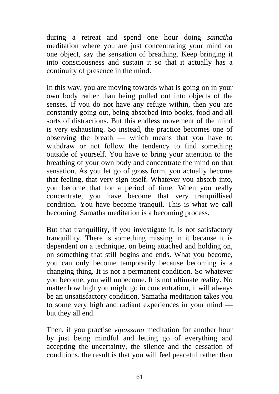during a retreat and spend one hour doing *samatha* meditation where you are just concentrating your mind on one object, say the sensation of breathing. Keep bringing it into consciousness and sustain it so that it actually has a continuity of presence in the mind.

In this way, you are moving towards what is going on in your own body rather than being pulled out into objects of the senses. If you do not have any refuge within, then you are constantly going out, being absorbed into books, food and all sorts of distractions. But this endless movement of the mind is very exhausting. So instead, the practice becomes one of observing the breath — which means that you have to withdraw or not follow the tendency to find something outside of yourself. You have to bring your attention to the breathing of your own body and concentrate the mind on that sensation. As you let go of gross form, you actually become that feeling, that very sign itself. Whatever you absorb into, you become that for a period of time. When you really concentrate, you have become that very tranquillised condition. You have become tranquil. This is what we call becoming. Samatha meditation is a becoming process.

But that tranquillity, if you investigate it, is not satisfactory tranquillity. There is something missing in it because it is dependent on a technique, on being attached and holding on, on something that still begins and ends. What you become, you can only become temporarily because becoming is a changing thing. It is not a permanent condition. So whatever you become, you will unbecome. It is not ultimate reality. No matter how high you might go in concentration, it will always be an unsatisfactory condition. Samatha meditation takes you to some very high and radiant experiences in your mind but they all end.

Then, if you practise *vipassana* meditation for another hour by just being mindful and letting go of everything and accepting the uncertainty, the silence and the cessation of conditions, the result is that you will feel peaceful rather than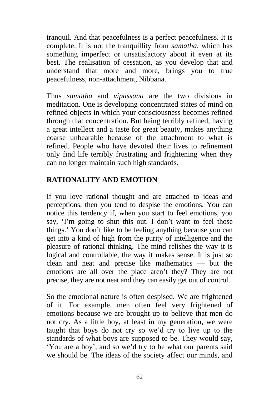<span id="page-61-0"></span>tranquil. And that peacefulness is a perfect peacefulness. It is complete. It is not the tranquillity from *samatha*, which has something imperfect or unsatisfactory about it even at its best. The realisation of cessation, as you develop that and understand that more and more, brings you to true peacefulness, non-attachment, Nibbana.

Thus *samatha* and *vipassana* are the two divisions in meditation. One is developing concentrated states of mind on refined objects in which your consciousness becomes refined through that concentration. But being terribly refined, having a great intellect and a taste for great beauty, makes anything coarse unbearable because of the attachment to what is refined. People who have devoted their lives to refinement only find life terribly frustrating and frightening when they can no longer maintain such high standards.

### **RATIONALITY AND EMOTION**

If you love rational thought and are attached to ideas and perceptions, then you tend to despise the emotions. You can notice this tendency if, when you start to feel emotions, you say, 'I'm going to shut this out. I don't want to feel those things.' You don't like to be feeling anything because you can get into a kind of high from the purity of intelligence and the pleasure of rational thinking. The mind relishes the way it is logical and controllable, the way it makes sense. It is just so clean and neat and precise like mathematics — but the emotions are all over the place aren't they? They are not precise, they are not neat and they can easily get out of control.

So the emotional nature is often despised. We are frightened of it. For example, men often feel very frightened of emotions because we are brought up to believe that men do not cry. As a little boy, at least in my generation, we were taught that boys do not cry so we'd try to live up to the standards of what boys are supposed to be. They would say, 'You are a boy', and so we'd try to be what our parents said we should be. The ideas of the society affect our minds, and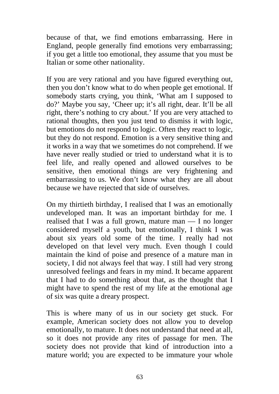because of that, we find emotions embarrassing. Here in England, people generally find emotions very embarrassing; if you get a little too emotional, they assume that you must be Italian or some other nationality.

If you are very rational and you have figured everything out, then you don't know what to do when people get emotional. If somebody starts crying, you think, 'What am I supposed to do?' Maybe you say, 'Cheer up; it's all right, dear. It'll be all right, there's nothing to cry about.' If you are very attached to rational thoughts, then you just tend to dismiss it with logic, but emotions do not respond to logic. Often they react to logic, but they do not respond. Emotion is a very sensitive thing and it works in a way that we sometimes do not comprehend. If we have never really studied or tried to understand what it is to feel life, and really opened and allowed ourselves to be sensitive, then emotional things are very frightening and embarrassing to us. We don't know what they are all about because we have rejected that side of ourselves.

On my thirtieth birthday, I realised that I was an emotionally undeveloped man. It was an important birthday for me. I realised that I was a full grown, mature man — I no longer considered myself a youth, but emotionally, I think I was about six years old some of the time. I really had not developed on that level very much. Even though I could maintain the kind of poise and presence of a mature man in society, I did not always feel that way. I still had very strong unresolved feelings and fears in my mind. It became apparent that I had to do something about that, as the thought that I might have to spend the rest of my life at the emotional age of six was quite a dreary prospect.

This is where many of us in our society get stuck. For example, American society does not allow you to develop emotionally, to mature. It does not understand that need at all, so it does not provide any rites of passage for men. The society does not provide that kind of introduction into a mature world; you are expected to be immature your whole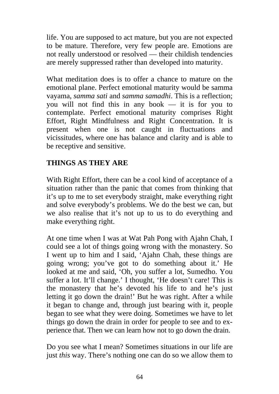<span id="page-63-0"></span>life. You are supposed to act mature, but you are not expected to be mature. Therefore, very few people are. Emotions are not really understood or resolved — their childish tendencies are merely suppressed rather than developed into maturity.

What meditation does is to offer a chance to mature on the emotional plane. Perfect emotional maturity would be samma vayama, *samma sati* and *samma samadhi*. This is a reflection; you will not find this in any book — it is for you to contemplate. Perfect emotional maturity comprises Right Effort, Right Mindfulness and Right Concentration. It is present when one is not caught in fluctuations and vicissitudes, where one has balance and clarity and is able to be receptive and sensitive.

### **THINGS AS THEY ARE**

With Right Effort, there can be a cool kind of acceptance of a situation rather than the panic that comes from thinking that it's up to me to set everybody straight, make everything right and solve everybody's problems. We do the best we can, but we also realise that it's not up to us to do everything and make everything right.

At one time when I was at Wat Pah Pong with Ajahn Chah, I could see a lot of things going wrong with the monastery. So I went up to him and I said, 'Ajahn Chah, these things are going wrong; you've got to do something about it.' He looked at me and said, 'Oh, you suffer a lot, Sumedho. You suffer a lot. It'll change.' I thought, 'He doesn't care! This is the monastery that he's devoted his life to and he's just letting it go down the drain!' But he was right. After a while it began to change and, through just bearing with it, people began to see what they were doing. Sometimes we have to let things go down the drain in order for people to see and to experience that. Then we can learn how not to go down the drain.

Do you see what I mean? Sometimes situations in our life are just *this* way. There's nothing one can do so we allow them to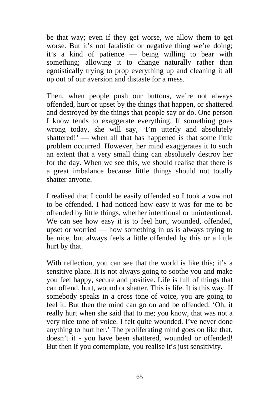be that way; even if they get worse, we allow them to get worse. But it's not fatalistic or negative thing we're doing; it's a kind of patience — being willing to bear with something; allowing it to change naturally rather than egotistically trying to prop everything up and cleaning it all up out of our aversion and distaste for a mess.

Then, when people push our buttons, we're not always offended, hurt or upset by the things that happen, or shattered and destroyed by the things that people say or do. One person I know tends to exaggerate everything. If something goes wrong today, she will say, 'I'm utterly and absolutely shattered!' — when all that has happened is that some little problem occurred. However, her mind exaggerates it to such an extent that a very small thing can absolutely destroy her for the day. When we see this, we should realise that there is a great imbalance because little things should not totally shatter anyone.

I realised that I could be easily offended so I took a vow not to be offended. I had noticed how easy it was for me to be offended by little things, whether intentional or unintentional. We can see how easy it is to feel hurt, wounded, offended, upset or worried — how something in us is always trying to be nice, but always feels a little offended by this or a little hurt by that.

With reflection, you can see that the world is like this; it's a sensitive place. It is not always going to soothe you and make you feel happy, secure and positive. Life is full of things that can offend, hurt, wound or shatter. This is life. It is this way. If somebody speaks in a cross tone of voice, you are going to feel it. But then the mind can go on and be offended: 'Oh, it really hurt when she said that to me; you know, that was not a very nice tone of voice. I felt quite wounded. I've never done anything to hurt her.' The proliferating mind goes on like that, doesn't it - you have been shattered, wounded or offended! But then if you contemplate, you realise it's just sensitivity.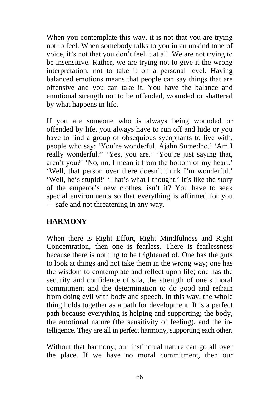<span id="page-65-0"></span>When you contemplate this way, it is not that you are trying not to feel. When somebody talks to you in an unkind tone of voice, it's not that you don't feel it at all. We are not trying to be insensitive. Rather, we are trying not to give it the wrong interpretation, not to take it on a personal level. Having balanced emotions means that people can say things that are offensive and you can take it. You have the balance and emotional strength not to be offended, wounded or shattered by what happens in life.

If you are someone who is always being wounded or offended by life, you always have to run off and hide or you have to find a group of obsequious sycophants to live with, people who say: 'You're wonderful, Ajahn Sumedho.' 'Am I really wonderful?' 'Yes, you are.' 'You're just saying that, aren't you?' 'No, no, I mean it from the bottom of my heart.' 'Well, that person over there doesn't think I'm wonderful.' 'Well, he's stupid!' 'That's what I thought.' It's like the story of the emperor's new clothes, isn't it? You have to seek special environments so that everything is affirmed for you — safe and not threatening in any way.

### **HARMONY**

When there is Right Effort, Right Mindfulness and Right Concentration, then one is fearless. There is fearlessness because there is nothing to be frightened of. One has the guts to look at things and not take them in the wrong way; one has the wisdom to contemplate and reflect upon life; one has the security and confidence of sila, the strength of one's moral commitment and the determination to do good and refrain from doing evil with body and speech. In this way, the whole thing holds together as a path for development. It is a perfect path because everything is helping and supporting; the body, the emotional nature (the sensitivity of feeling), and the intelligence. They are all in perfect harmony, supporting each other.

Without that harmony, our instinctual nature can go all over the place. If we have no moral commitment, then our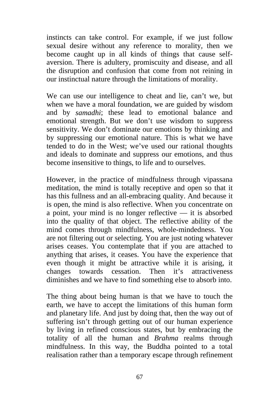instincts can take control. For example, if we just follow sexual desire without any reference to morality, then we become caught up in all kinds of things that cause selfaversion. There is adultery, promiscuity and disease, and all the disruption and confusion that come from not reining in our instinctual nature through the limitations of morality.

We can use our intelligence to cheat and lie, can't we, but when we have a moral foundation, we are guided by wisdom and by *samadhi*; these lead to emotional balance and emotional strength. But we don't use wisdom to suppress sensitivity. We don't dominate our emotions by thinking and by suppressing our emotional nature. This is what we have tended to do in the West; we've used our rational thoughts and ideals to dominate and suppress our emotions, and thus become insensitive to things, to life and to ourselves.

However, in the practice of mindfulness through vipassana meditation, the mind is totally receptive and open so that it has this fullness and an all-embracing quality. And because it is open, the mind is also reflective. When you concentrate on a point, your mind is no longer reflective — it is absorbed into the quality of that object. The reflective ability of the mind comes through mindfulness, whole-mindedness. You are not filtering out or selecting. You are just noting whatever arises ceases. You contemplate that if you are attached to anything that arises, it ceases. You have the experience that even though it might be attractive while it is arising, it changes towards cessation. Then it's attractiveness diminishes and we have to find something else to absorb into.

The thing about being human is that we have to touch the earth, we have to accept the limitations of this human form and planetary life. And just by doing that, then the way out of suffering isn't through getting out of our human experience by living in refined conscious states, but by embracing the totality of all the human and *Brahma* realms through mindfulness. In this way, the Buddha pointed to a total realisation rather than a temporary escape through refinement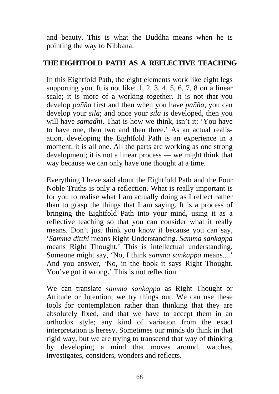<span id="page-67-0"></span>and beauty. This is what the Buddha means when he is pointing the way to Nibbana.

### **THE EIGHTFOLD PATH AS A REFLECTIVE TEACHING**

In this Eightfold Path, the eight elements work like eight legs supporting you. It is not like: 1, 2, 3, 4, 5, 6, 7, 8 on a linear scale; it is more of a working together. It is not that you develop *pañña* first and then when you have *pañña*, you can develop your *sila*; and once your *sila* is developed, then you will have *samadhi*. That is how we think, isn't it: 'You have to have one, then two and then three.' As an actual realisation, developing the Eightfold Path is an experience in a moment, it is all one. All the parts are working as one strong development; it is not a linear process — we might think that way because we can only have one thought at a time.

Everything I have said about the Eightfold Path and the Four Noble Truths is only a reflection. What is really important is for you to realise what I am actually doing as I reflect rather than to grasp the things that I am saying. It is a process of bringing the Eightfold Path into your mind, using it as a reflective teaching so that you can consider what it really means. Don't just think you know it because you can say, '*Samma ditthi* means Right Understanding. *Samma sankappa* means Right Thought.' This is intellectual understanding. Someone might say, 'No, I think *samma sankappa* means....' And you answer, 'No, in the book it says Right Thought. You've got it wrong.' This is not reflection.

We can translate *samma sankappa* as Right Thought or Attitude or Intention; we try things out. We can use these tools for contemplation rather than thinking that they are absolutely fixed, and that we have to accept them in an orthodox style; any kind of variation from the exact interpretation is heresy. Sometimes our minds do think in that rigid way, but we are trying to transcend that way of thinking by developing a mind that moves around, watches, investigates, considers, wonders and reflects.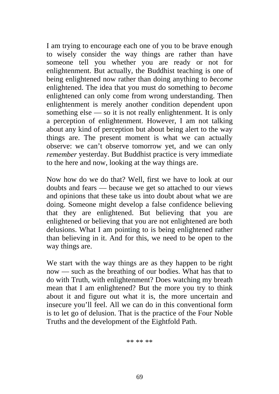I am trying to encourage each one of you to be brave enough to wisely consider the way things are rather than have someone tell you whether you are ready or not for enlightenment. But actually, the Buddhist teaching is one of being enlightened now rather than doing anything to *become* enlightened. The idea that you must do something to *become* enlightened can only come from wrong understanding. Then enlightenment is merely another condition dependent upon something else — so it is not really enlightenment. It is only a perception of enlightenment. However, I am not talking about any kind of perception but about being alert to the way things are. The present moment is what we can actually observe: we can't observe tomorrow yet, and we can only *remember* yesterday. But Buddhist practice is very immediate to the here and now, looking at the way things are.

Now how do we do that? Well, first we have to look at our doubts and fears — because we get so attached to our views and opinions that these take us into doubt about what we are doing. Someone might develop a false confidence believing that they are enlightened. But believing that you are enlightened or believing that you are not enlightened are both delusions. What I am pointing to is being enlightened rather than believing in it. And for this, we need to be open to the way things are.

We start with the way things are as they happen to be right now — such as the breathing of our bodies. What has that to do with Truth, with enlightenment? Does watching my breath mean that I am enlightened? But the more you try to think about it and figure out what it is, the more uncertain and insecure you'll feel. All we can do in this conventional form is to let go of delusion. That is the practice of the Four Noble Truths and the development of the Eightfold Path.

\*\* \*\* \*\*